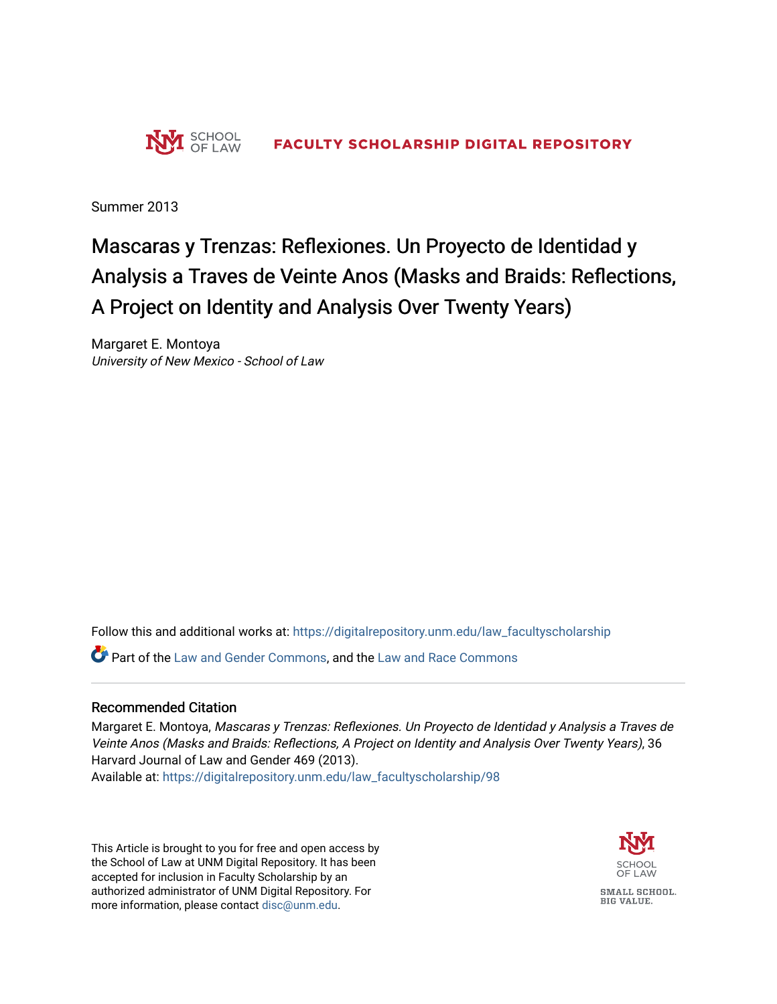

Summer 2013

# Mascaras y Trenzas: Reflexiones. Un Proyecto de Identidad y Analysis a Traves de Veinte Anos (Masks and Braids: Reflections, A Project on Identity and Analysis Over Twenty Years)

Margaret E. Montoya University of New Mexico - School of Law

Follow this and additional works at: [https://digitalrepository.unm.edu/law\\_facultyscholarship](https://digitalrepository.unm.edu/law_facultyscholarship?utm_source=digitalrepository.unm.edu%2Flaw_facultyscholarship%2F98&utm_medium=PDF&utm_campaign=PDFCoverPages) 

**P** Part of the [Law and Gender Commons,](http://network.bepress.com/hgg/discipline/1298?utm_source=digitalrepository.unm.edu%2Flaw_facultyscholarship%2F98&utm_medium=PDF&utm_campaign=PDFCoverPages) and the [Law and Race Commons](http://network.bepress.com/hgg/discipline/1300?utm_source=digitalrepository.unm.edu%2Flaw_facultyscholarship%2F98&utm_medium=PDF&utm_campaign=PDFCoverPages)

### Recommended Citation

Margaret E. Montoya, Mascaras y Trenzas: Reflexiones. Un Proyecto de Identidad y Analysis a Traves de Veinte Anos (Masks and Braids: Reflections, A Project on Identity and Analysis Over Twenty Years), 36 Harvard Journal of Law and Gender 469 (2013). Available at: [https://digitalrepository.unm.edu/law\\_facultyscholarship/98](https://digitalrepository.unm.edu/law_facultyscholarship/98?utm_source=digitalrepository.unm.edu%2Flaw_facultyscholarship%2F98&utm_medium=PDF&utm_campaign=PDFCoverPages)

This Article is brought to you for free and open access by the School of Law at UNM Digital Repository. It has been accepted for inclusion in Faculty Scholarship by an authorized administrator of UNM Digital Repository. For more information, please contact [disc@unm.edu](mailto:disc@unm.edu).



SMALL SCHOOL. **BIG VALUE.**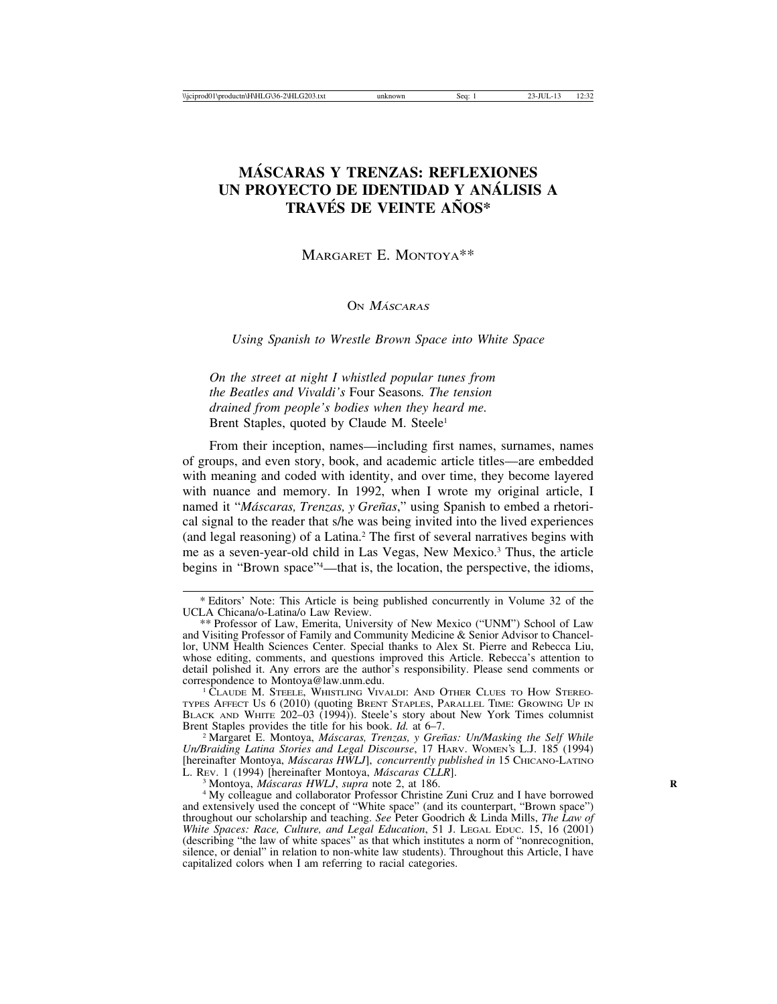# **MASCARAS Y TRENZAS: REFLEXIONES ´ UN PROYECTO DE IDENTIDAD Y ANALISIS A ´ TRAVES DE VEINTE A ´ NOS\* ˜**

MARGARET E. MONTOYA\*\*

## ON *Máscaras*

*Using Spanish to Wrestle Brown Space into White Space*

*On the street at night I whistled popular tunes from the Beatles and Vivaldi's* Four Seasons*. The tension drained from people's bodies when they heard me.* Brent Staples, quoted by Claude M. Steele<sup>1</sup>

From their inception, names—including first names, surnames, names of groups, and even story, book, and academic article titles—are embedded with meaning and coded with identity, and over time, they become layered with nuance and memory. In 1992, when I wrote my original article, I named it "*Máscaras, Trenzas, y Greñas*," using Spanish to embed a rhetorical signal to the reader that s/he was being invited into the lived experiences (and legal reasoning) of a Latina.2 The first of several narratives begins with me as a seven-year-old child in Las Vegas, New Mexico.3 Thus, the article begins in "Brown space"4 —that is, the location, the perspective, the idioms,

<sup>1</sup> CLAUDE M. STEELE, WHISTLING VIVALDI: AND OTHER CLUES TO HOW STEREO-TYPES AFFECT US 6 (2010) (quoting BRENT STAPLES, PARALLEL TIME: GROWING UP IN BLACK AND WHITE  $202-03$  (1994)). Steele's story about New York Times columnist Brent Staples provides the title for his book. *Id.* at 6–7.

<sup>2</sup> Margaret E. Montoya, *Máscaras, Trenzas, y Greñas: Un/Masking the Self While Un/Braiding Latina Stories and Legal Discourse*, 17 HARV. WOMEN'S L.J. 185 (1994) [hereinafter Montoya, *Máscaras HWLJ*], *concurrently published in* 15 CHICANO-LATINO L. REV. 1 (1994) [hereinafter Montoya, *Máscaras CLLR*].

<sup>3</sup> Montoya, *Máscaras HWLJ*, *supra* note 2, at 186.<br><sup>4</sup> My colleague and collaborator Professor Christine Zuni Cruz and I have borrowed and extensively used the concept of "White space" (and its counterpart, "Brown space") throughout our scholarship and teaching. *See* Peter Goodrich & Linda Mills, *The Law of White Spaces: Race, Culture, and Legal Education*, 51 J. LEGAL EDUC. 15, 16 (2001) (describing "the law of white spaces" as that which institutes a norm of "nonrecognition, silence, or denial" in relation to non-white law students). Throughout this Article, I have capitalized colors when I am referring to racial categories.

<sup>\*</sup> Editors' Note: This Article is being published concurrently in Volume 32 of the UCLA Chicana/o-Latina/o Law Review.

<sup>\*\*</sup> Professor of Law, Emerita, University of New Mexico ("UNM") School of Law and Visiting Professor of Family and Community Medicine & Senior Advisor to Chancellor, UNM Health Sciences Center. Special thanks to Alex St. Pierre and Rebecca Liu, whose editing, comments, and questions improved this Article. Rebecca's attention to detail polished it. Any errors are the author's responsibility. Please send comments or correspondence to Montoya@law.unm.edu.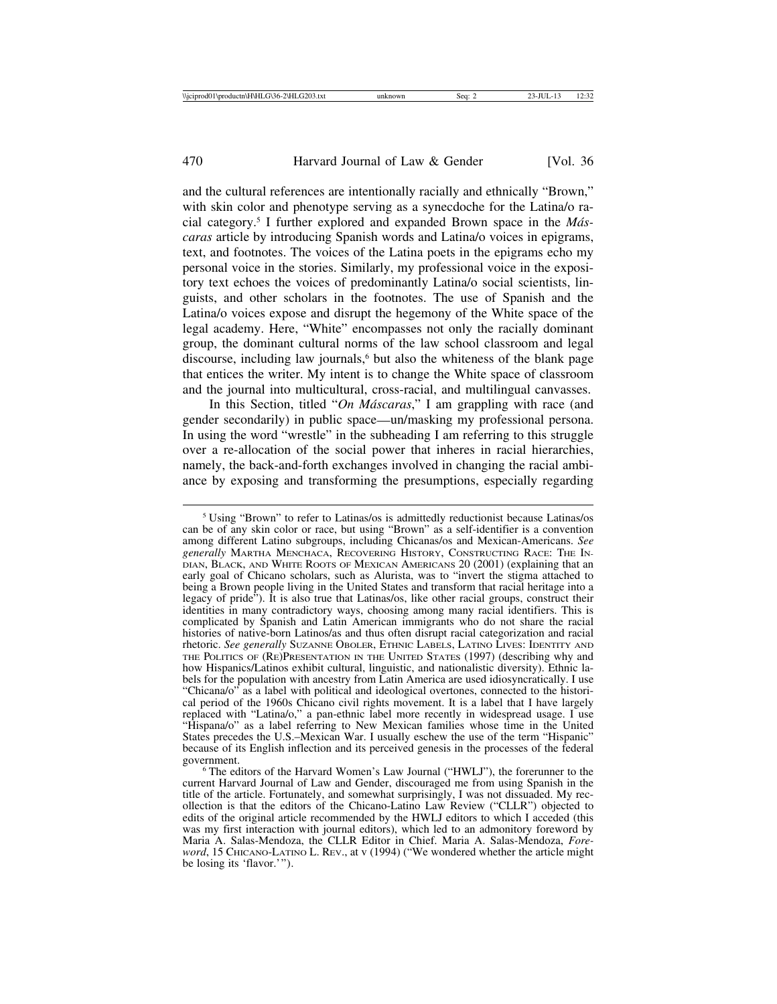and the cultural references are intentionally racially and ethnically "Brown," with skin color and phenotype serving as a synecdoche for the Latina/o racial category.5 I further explored and expanded Brown space in the *M´ascaras* article by introducing Spanish words and Latina/o voices in epigrams, text, and footnotes. The voices of the Latina poets in the epigrams echo my personal voice in the stories. Similarly, my professional voice in the expository text echoes the voices of predominantly Latina/o social scientists, linguists, and other scholars in the footnotes. The use of Spanish and the Latina/o voices expose and disrupt the hegemony of the White space of the legal academy. Here, "White" encompasses not only the racially dominant group, the dominant cultural norms of the law school classroom and legal discourse, including law journals, $6$  but also the whiteness of the blank page that entices the writer. My intent is to change the White space of classroom and the journal into multicultural, cross-racial, and multilingual canvasses.

In this Section, titled "On Máscaras," I am grappling with race (and gender secondarily) in public space—un/masking my professional persona. In using the word "wrestle" in the subheading I am referring to this struggle over a re-allocation of the social power that inheres in racial hierarchies, namely, the back-and-forth exchanges involved in changing the racial ambiance by exposing and transforming the presumptions, especially regarding

<sup>5</sup> Using "Brown" to refer to Latinas/os is admittedly reductionist because Latinas/os can be of any skin color or race, but using "Brown" as a self-identifier is a convention among different Latino subgroups, including Chicanas/os and Mexican-Americans. *See generally* MARTHA MENCHACA, RECOVERING HISTORY, CONSTRUCTING RACE: THE IN-DIAN, BLACK, AND WHITE ROOTS OF MEXICAN AMERICANS 20 (2001) (explaining that an early goal of Chicano scholars, such as Alurista, was to "invert the stigma attached to being a Brown people living in the United States and transform that racial heritage into a legacy of pride"). It is also true that Latinas/os, like other racial groups, construct their identities in many contradictory ways, choosing among many racial identifiers. This is complicated by Spanish and Latin American immigrants who do not share the racial histories of native-born Latinos/as and thus often disrupt racial categorization and racial rhetoric. *See generally* SUZANNE OBOLER, ETHNIC LABELS, LATINO LIVES: IDENTITY AND THE POLITICS OF (RE)PRESENTATION IN THE UNITED STATES (1997) (describing why and how Hispanics/Latinos exhibit cultural, linguistic, and nationalistic diversity). Ethnic labels for the population with ancestry from Latin America are used idiosyncratically. I use "Chicana/o" as a label with political and ideological overtones, connected to the historical period of the 1960s Chicano civil rights movement. It is a label that I have largely replaced with "Latina/o," a pan-ethnic label more recently in widespread usage. I use "Hispana/o" as a label referring to New Mexican families whose time in the United States precedes the U.S.–Mexican War. I usually eschew the use of the term "Hispanic" because of its English inflection and its perceived genesis in the processes of the federal

<sup>&</sup>lt;sup>6</sup> The editors of the Harvard Women's Law Journal ("HWLJ"), the forerunner to the current Harvard Journal of Law and Gender, discouraged me from using Spanish in the title of the article. Fortunately, and somewhat surprisingly, I was not dissuaded. My recollection is that the editors of the Chicano-Latino Law Review ("CLLR") objected to edits of the original article recommended by the HWLJ editors to which I acceded (this was my first interaction with journal editors), which led to an admonitory foreword by Maria A. Salas-Mendoza, the CLLR Editor in Chief. Maria A. Salas-Mendoza, *Foreword*, 15 CHICANO-LATINO L. REV., at v (1994) ("We wondered whether the article might be losing its 'flavor.'").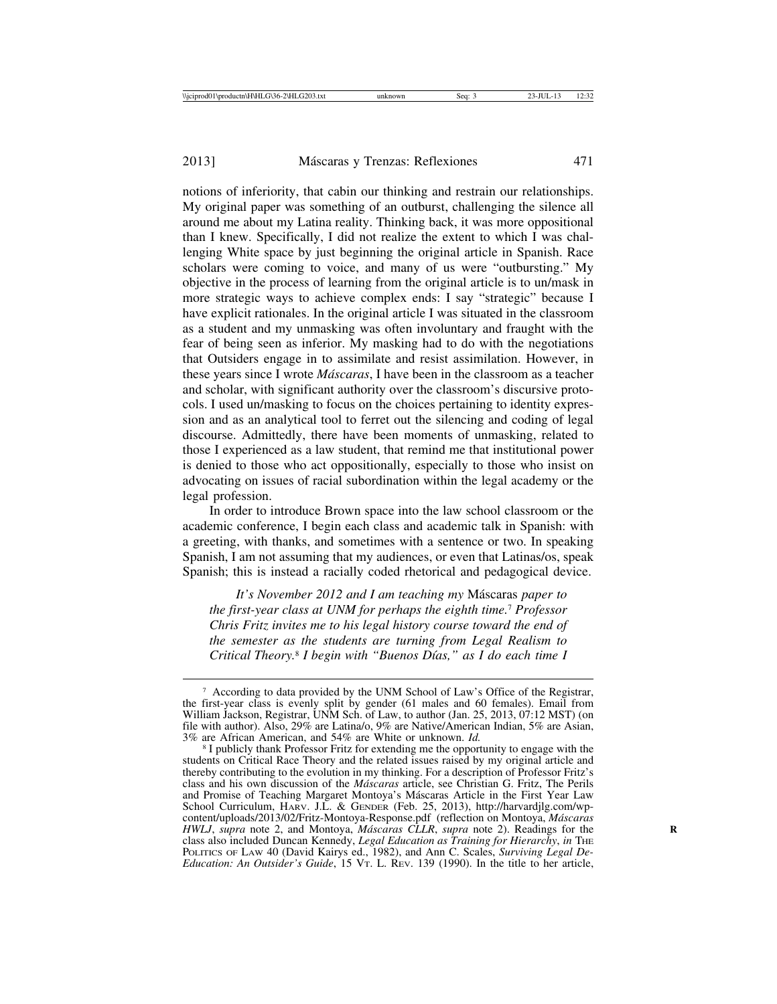notions of inferiority, that cabin our thinking and restrain our relationships. My original paper was something of an outburst, challenging the silence all around me about my Latina reality. Thinking back, it was more oppositional than I knew. Specifically, I did not realize the extent to which I was challenging White space by just beginning the original article in Spanish. Race scholars were coming to voice, and many of us were "outbursting." My objective in the process of learning from the original article is to un/mask in more strategic ways to achieve complex ends: I say "strategic" because I have explicit rationales. In the original article I was situated in the classroom as a student and my unmasking was often involuntary and fraught with the fear of being seen as inferior. My masking had to do with the negotiations that Outsiders engage in to assimilate and resist assimilation. However, in these years since I wrote *M´ascaras*, I have been in the classroom as a teacher and scholar, with significant authority over the classroom's discursive protocols. I used un/masking to focus on the choices pertaining to identity expression and as an analytical tool to ferret out the silencing and coding of legal discourse. Admittedly, there have been moments of unmasking, related to those I experienced as a law student, that remind me that institutional power is denied to those who act oppositionally, especially to those who insist on advocating on issues of racial subordination within the legal academy or the legal profession.

In order to introduce Brown space into the law school classroom or the academic conference, I begin each class and academic talk in Spanish: with a greeting, with thanks, and sometimes with a sentence or two. In speaking Spanish, I am not assuming that my audiences, or even that Latinas/os, speak Spanish; this is instead a racially coded rhetorical and pedagogical device.

*It's November 2012 and I am teaching my* M´ascaras *paper to the first-year class at UNM for perhaps the eighth time.*7 *Professor Chris Fritz invites me to his legal history course toward the end of the semester as the students are turning from Legal Realism to Critical Theory.*8 *I begin with "Buenos D´ıas," as I do each time I*

<sup>&</sup>lt;sup>7</sup> According to data provided by the UNM School of Law's Office of the Registrar, the first-year class is evenly split by gender (61 males and 60 females). Email from William Jackson, Registrar, UNM Sch. of Law, to author (Jan. 25, 2013, 07:12 MST) (on file with author). Also, 29% are Latina/o, 9% are Native/American Indian, 5% are Asian, 3% are African American, and 54% are White or unknown. *Id.* 

<sup>&</sup>lt;sup>8</sup> I publicly thank Professor Fritz for extending me the opportunity to engage with the students on Critical Race Theory and the related issues raised by my original article and thereby contributing to the evolution in my thinking. For a description of Professor Fritz's class and his own discussion of the *M´ascaras* article, see Christian G. Fritz, The Perils and Promise of Teaching Margaret Montoya's Máscaras Article in the First Year Law School Curriculum, HARV. J.L. & GENDER (Feb. 25, 2013), http://harvardjlg.com/wpcontent/uploads/2013/02/Fritz-Montoya-Response.pdf (reflection on Montoya, *M´ascaras HWLJ*, *supra* note 2, and Montoya, *Máscaras CLLR*, *supra* note 2). Readings for the class also included Duncan Kennedy, *Legal Education as Training for Hierarchy*, *in* THE POLITICS OF LAW 40 (David Kairys ed., 1982), and Ann C. Scales, *Surviving Legal De-Education: An Outsider's Guide*, 15 VT. L. REV. 139 (1990). In the title to her article,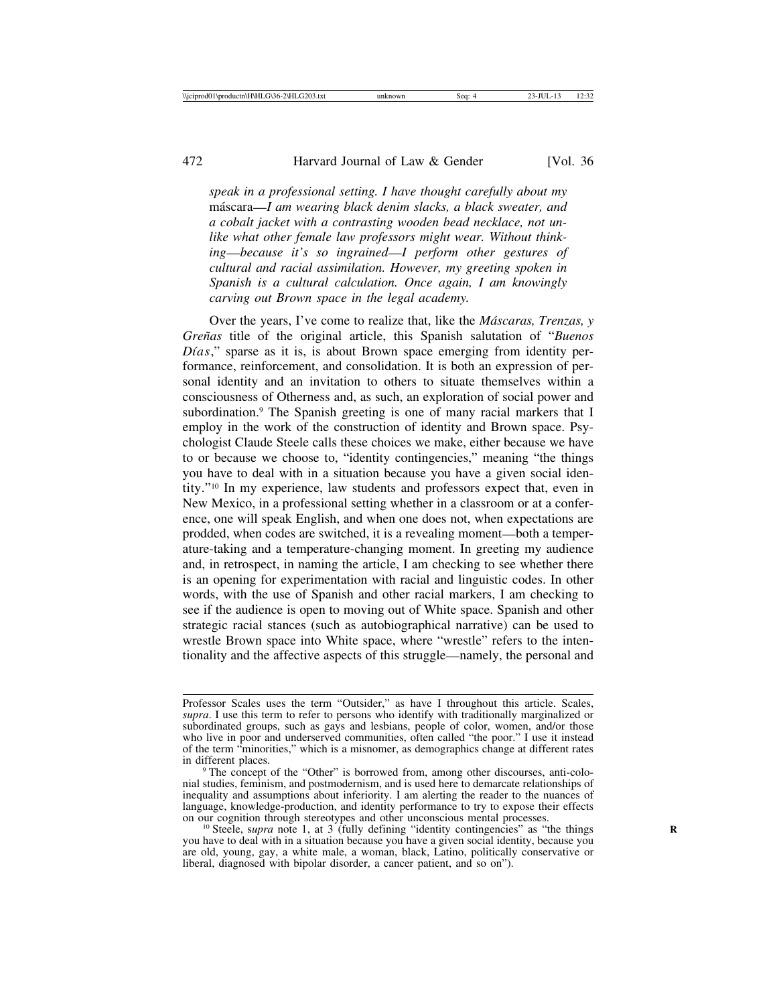*speak in a professional setting. I have thought carefully about my* m´ascara—*I am wearing black denim slacks, a black sweater, and a cobalt jacket with a contrasting wooden bead necklace, not unlike what other female law professors might wear. Without thinking*—*because it's so ingrained*—*I perform other gestures of cultural and racial assimilation. However, my greeting spoken in Spanish is a cultural calculation. Once again, I am knowingly carving out Brown space in the legal academy.*

Over the years, I've come to realize that, like the *M´ascaras, Trenzas, y Gre˜nas* title of the original article, this Spanish salutation of "*Buenos Dias*," sparse as it is, is about Brown space emerging from identity performance, reinforcement, and consolidation. It is both an expression of personal identity and an invitation to others to situate themselves within a consciousness of Otherness and, as such, an exploration of social power and subordination.9 The Spanish greeting is one of many racial markers that I employ in the work of the construction of identity and Brown space. Psychologist Claude Steele calls these choices we make, either because we have to or because we choose to, "identity contingencies," meaning "the things you have to deal with in a situation because you have a given social identity."10 In my experience, law students and professors expect that, even in New Mexico, in a professional setting whether in a classroom or at a conference, one will speak English, and when one does not, when expectations are prodded, when codes are switched, it is a revealing moment—both a temperature-taking and a temperature-changing moment. In greeting my audience and, in retrospect, in naming the article, I am checking to see whether there is an opening for experimentation with racial and linguistic codes. In other words, with the use of Spanish and other racial markers, I am checking to see if the audience is open to moving out of White space. Spanish and other strategic racial stances (such as autobiographical narrative) can be used to wrestle Brown space into White space, where "wrestle" refers to the intentionality and the affective aspects of this struggle—namely, the personal and

Professor Scales uses the term "Outsider," as have I throughout this article. Scales, *supra*. I use this term to refer to persons who identify with traditionally marginalized or subordinated groups, such as gays and lesbians, people of color, women, and/or those who live in poor and underserved communities, often called "the poor." I use it instead of the term "minorities," which is a misnomer, as demographics change at different rates

<sup>&</sup>lt;sup>9</sup> The concept of the "Other" is borrowed from, among other discourses, anti-colonial studies, feminism, and postmodernism, and is used here to demarcate relationships of inequality and assumptions about inferiority. I am alerting the reader to the nuances of language, knowledge-production, and identity performance to try to expose their effects on our cognition through stereotypes and other unconscious mental processes.

<sup>&</sup>lt;sup>10</sup> Steele, supra note 1, at 3 (fully defining "identity contingencies" as "the things you have to deal with in a situation because you have a given social identity, because you are old, young, gay, a white male, a woman, black, Latino, politically conservative or liberal, diagnosed with bipolar disorder, a cancer patient, and so on").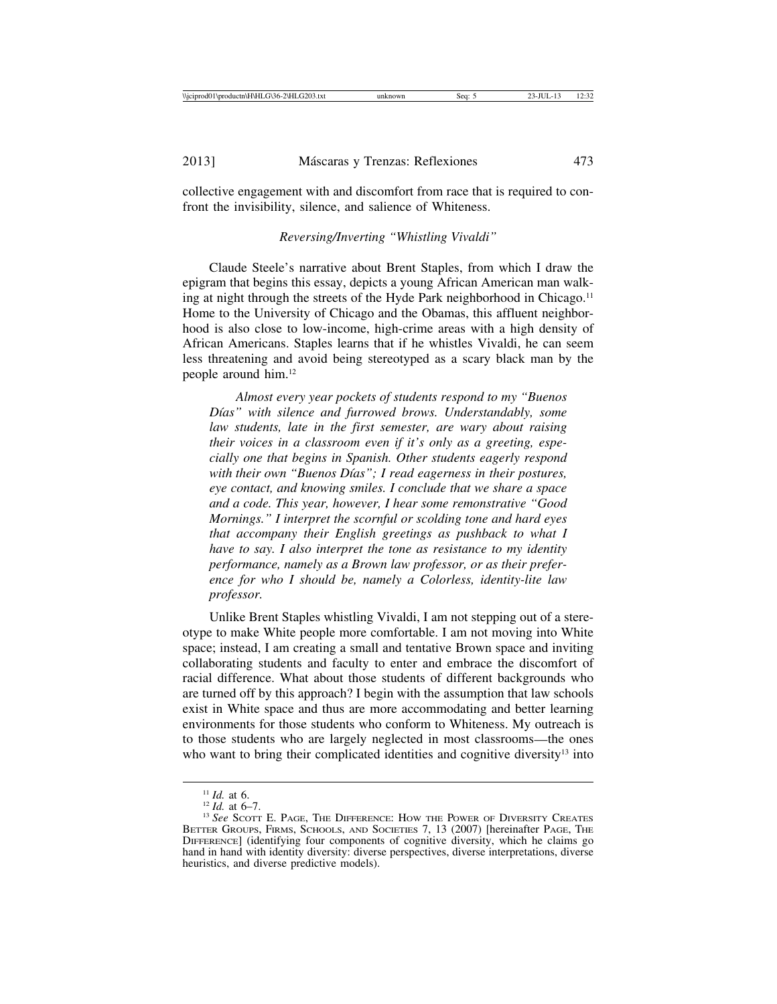collective engagement with and discomfort from race that is required to confront the invisibility, silence, and salience of Whiteness.

#### *Reversing/Inverting "Whistling Vivaldi"*

Claude Steele's narrative about Brent Staples, from which I draw the epigram that begins this essay, depicts a young African American man walking at night through the streets of the Hyde Park neighborhood in Chicago.<sup>11</sup> Home to the University of Chicago and the Obamas, this affluent neighborhood is also close to low-income, high-crime areas with a high density of African Americans. Staples learns that if he whistles Vivaldi, he can seem less threatening and avoid being stereotyped as a scary black man by the people around him.12

*Almost every year pockets of students respond to my "Buenos* Días" with silence and furrowed brows. Understandably, some *law students, late in the first semester, are wary about raising their voices in a classroom even if it's only as a greeting, especially one that begins in Spanish. Other students eagerly respond* with their own "Buenos Días"; I read eagerness in their postures, *eye contact, and knowing smiles. I conclude that we share a space and a code. This year, however, I hear some remonstrative "Good Mornings." I interpret the scornful or scolding tone and hard eyes that accompany their English greetings as pushback to what I have to say. I also interpret the tone as resistance to my identity performance, namely as a Brown law professor, or as their preference for who I should be, namely a Colorless, identity-lite law professor.*

Unlike Brent Staples whistling Vivaldi, I am not stepping out of a stereotype to make White people more comfortable. I am not moving into White space; instead, I am creating a small and tentative Brown space and inviting collaborating students and faculty to enter and embrace the discomfort of racial difference. What about those students of different backgrounds who are turned off by this approach? I begin with the assumption that law schools exist in White space and thus are more accommodating and better learning environments for those students who conform to Whiteness. My outreach is to those students who are largely neglected in most classrooms—the ones who want to bring their complicated identities and cognitive diversity<sup>13</sup> into

<sup>&</sup>lt;sup>11</sup> *Id.* at 6.<br><sup>12</sup> *Id.* at 6–7.<br><sup>13</sup> See Scott E. Page, The Difference: How the Power of Diversity Creates BETTER GROUPS, FIRMS, SCHOOLS, AND SOCIETIES 7, 13 (2007) [hereinafter PAGE, THE DIFFERENCE] (identifying four components of cognitive diversity, which he claims go hand in hand with identity diversity: diverse perspectives, diverse interpretations, diverse heuristics, and diverse predictive models).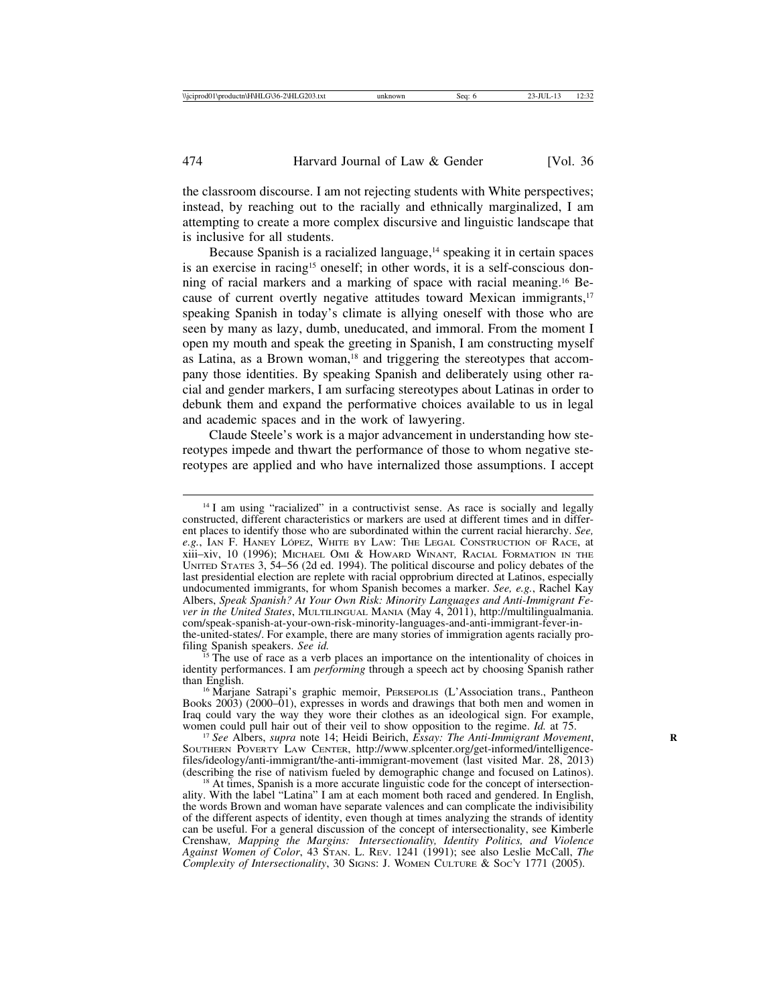the classroom discourse. I am not rejecting students with White perspectives; instead, by reaching out to the racially and ethnically marginalized, I am attempting to create a more complex discursive and linguistic landscape that is inclusive for all students.

Because Spanish is a racialized language,<sup>14</sup> speaking it in certain spaces is an exercise in racing15 oneself; in other words, it is a self-conscious donning of racial markers and a marking of space with racial meaning.16 Because of current overtly negative attitudes toward Mexican immigrants,<sup>17</sup> speaking Spanish in today's climate is allying oneself with those who are seen by many as lazy, dumb, uneducated, and immoral. From the moment I open my mouth and speak the greeting in Spanish, I am constructing myself as Latina, as a Brown woman,<sup>18</sup> and triggering the stereotypes that accompany those identities. By speaking Spanish and deliberately using other racial and gender markers, I am surfacing stereotypes about Latinas in order to debunk them and expand the performative choices available to us in legal and academic spaces and in the work of lawyering.

Claude Steele's work is a major advancement in understanding how stereotypes impede and thwart the performance of those to whom negative stereotypes are applied and who have internalized those assumptions. I accept

<sup>&</sup>lt;sup>14</sup> I am using "racialized" in a contructivist sense. As race is socially and legally constructed, different characteristics or markers are used at different times and in different places to identify those who are subordinated within the current racial hierarchy. *See, e.g.*, IAN F. HANEY LÓPEZ, WHITE BY LAW: THE LEGAL CONSTRUCTION OF RACE, at xiii–xiv, 10 (1996); MICHAEL OMI & HOWARD WINANT*,* RACIAL FORMATION IN THE UNITED STATES 3, 54–56 (2d ed. 1994). The political discourse and policy debates of the last presidential election are replete with racial opprobrium directed at Latinos, especially undocumented immigrants, for whom Spanish becomes a marker. *See, e.g.*, Rachel Kay Albers, *Speak Spanish? At Your Own Risk: Minority Languages and Anti-Immigrant Fever in the United States*, MULTILINGUAL MANIA (May 4, 2011), http://multilingualmania. com/speak-spanish-at-your-own-risk-minority-languages-and-anti-immigrant-fever-inthe-united-states/. For example, there are many stories of immigration agents racially pro-<br>filing Spanish speakers. See id.

<sup>&</sup>lt;sup>15</sup> The use of race as a verb places an importance on the intentionality of choices in identity performances. I am *performing* through a speech act by choosing Spanish rather

<sup>&</sup>lt;sup>16</sup> Marjane Satrapi's graphic memoir, PERSEPOLIS (L'Association trans., Pantheon Books 2003) (2000–01), expresses in words and drawings that both men and women in Iraq could vary the way they wore their clothes as an ideological sign. For example, women could pull hair out of their veil to show opposition to the regime. *Id.* at 75. <sup>17</sup> *See* Albers, *supra* note 14; Heidi Beirich, *Essay: The Anti-Immigrant Movement*,

SOUTHERN POVERTY LAW CENTER, http://www.splcenter.org/get-informed/intelligencefiles/ideology/anti-immigrant/the-anti-immigrant-movement (last visited Mar. 28, 2013) (describing the rise of nativism fueled by demographic change and focused on Latinos). <sup>18</sup> At times, Spanish is a more accurate linguistic code for the concept of intersection-

ality. With the label "Latina" I am at each moment both raced and gendered. In English, the words Brown and woman have separate valences and can complicate the indivisibility of the different aspects of identity, even though at times analyzing the strands of identity can be useful. For a general discussion of the concept of intersectionality, see Kimberle Crenshaw*, Mapping the Margins: Intersectionality, Identity Politics, and Violence Against Women of Color*, 43 STAN. L. REV. 1241 (1991); see also Leslie McCall, *The Complexity of Intersectionality*, 30 SIGNS: J. WOMEN CULTURE & SOC'Y 1771 (2005).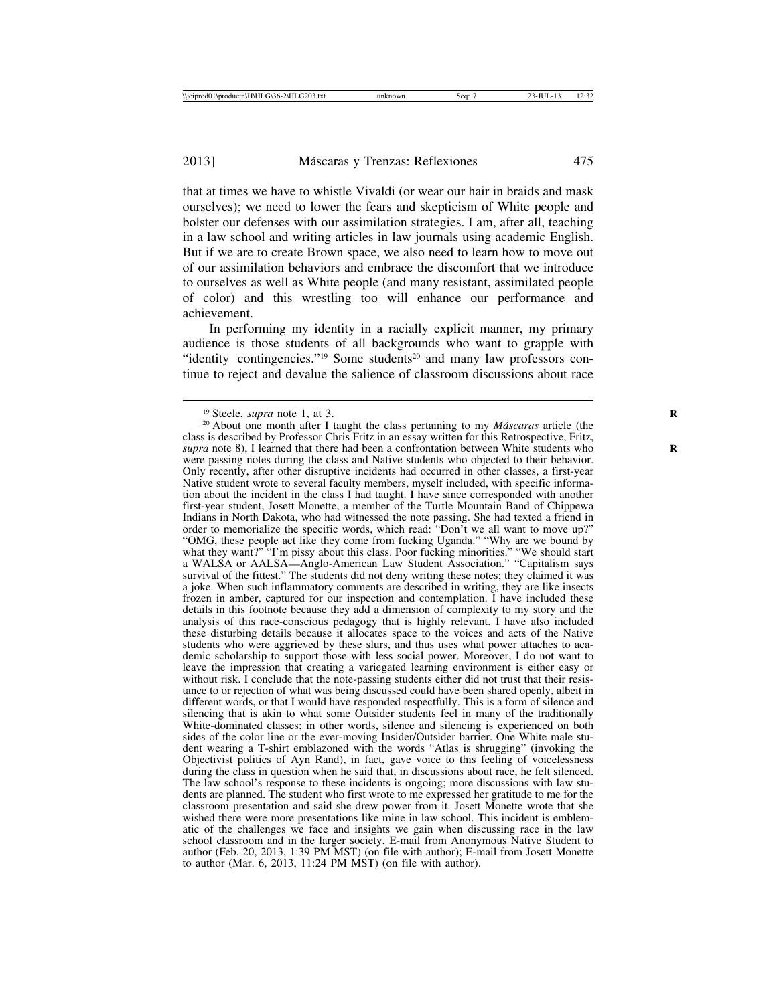that at times we have to whistle Vivaldi (or wear our hair in braids and mask ourselves); we need to lower the fears and skepticism of White people and bolster our defenses with our assimilation strategies. I am, after all, teaching in a law school and writing articles in law journals using academic English. But if we are to create Brown space, we also need to learn how to move out of our assimilation behaviors and embrace the discomfort that we introduce to ourselves as well as White people (and many resistant, assimilated people of color) and this wrestling too will enhance our performance and achievement.

In performing my identity in a racially explicit manner, my primary audience is those students of all backgrounds who want to grapple with "identity contingencies."<sup>19</sup> Some students<sup>20</sup> and many law professors continue to reject and devalue the salience of classroom discussions about race

<sup>&</sup>lt;sup>19</sup> Steele, *supra* note 1, at 3.<br><sup>20</sup> About one month after I taught the class pertaining to my *Máscaras* article (the class is described by Professor Chris Fritz in an essay written for this Retrospective, Fritz, *supra* note 8), I learned that there had been a confrontation between White students who **R** were passing notes during the class and Native students who objected to their behavior. Only recently, after other disruptive incidents had occurred in other classes, a first-year Native student wrote to several faculty members, myself included, with specific information about the incident in the class I had taught. I have since corresponded with another first-year student, Josett Monette, a member of the Turtle Mountain Band of Chippewa Indians in North Dakota, who had witnessed the note passing. She had texted a friend in order to memorialize the specific words, which read: "Don't we all want to move up?" "OMG, these people act like they come from fucking Uganda." "Why are we bound by what they want?" "I'm pissy about this class. Poor fucking minorities." "We should start a WALSA or AALSA—Anglo-American Law Student Association." "Capitalism says survival of the fittest." The students did not deny writing these notes; they claimed it was a joke. When such inflammatory comments are described in writing, they are like insects frozen in amber, captured for our inspection and contemplation. I have included these details in this footnote because they add a dimension of complexity to my story and the analysis of this race-conscious pedagogy that is highly relevant. I have also included these disturbing details because it allocates space to the voices and acts of the Native students who were aggrieved by these slurs, and thus uses what power attaches to academic scholarship to support those with less social power. Moreover, I do not want to leave the impression that creating a variegated learning environment is either easy or without risk. I conclude that the note-passing students either did not trust that their resistance to or rejection of what was being discussed could have been shared openly, albeit in different words, or that I would have responded respectfully. This is a form of silence and silencing that is akin to what some Outsider students feel in many of the traditionally White-dominated classes; in other words, silence and silencing is experienced on both sides of the color line or the ever-moving Insider/Outsider barrier. One White male student wearing a T-shirt emblazoned with the words "Atlas is shrugging" (invoking the Objectivist politics of Ayn Rand), in fact, gave voice to this feeling of voicelessness during the class in question when he said that, in discussions about race, he felt silenced. The law school's response to these incidents is ongoing; more discussions with law students are planned. The student who first wrote to me expressed her gratitude to me for the classroom presentation and said she drew power from it. Josett Monette wrote that she wished there were more presentations like mine in law school. This incident is emblematic of the challenges we face and insights we gain when discussing race in the law school classroom and in the larger society. E-mail from Anonymous Native Student to author (Feb. 20, 2013, 1:39 PM MST) (on file with author); E-mail from Josett Monette to author (Mar. 6, 2013, 11:24 PM MST) (on file with author).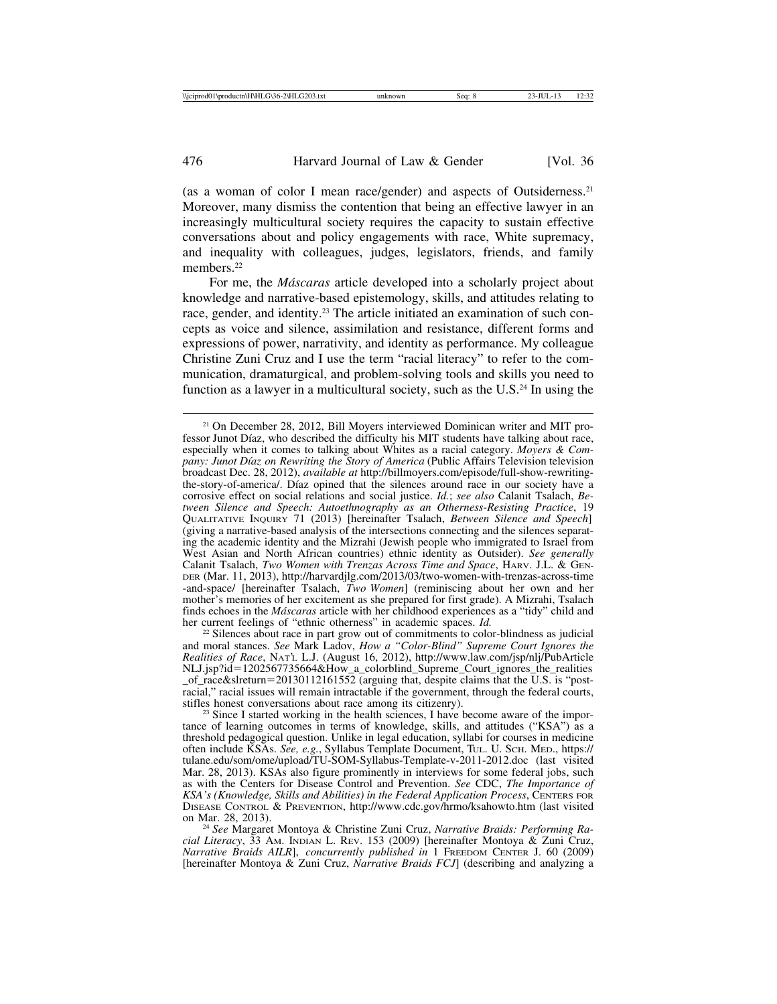(as a woman of color I mean race/gender) and aspects of Outsiderness.21 Moreover, many dismiss the contention that being an effective lawyer in an increasingly multicultural society requires the capacity to sustain effective conversations about and policy engagements with race, White supremacy, and inequality with colleagues, judges, legislators, friends, and family members.<sup>22</sup>

For me, the *M´ascaras* article developed into a scholarly project about knowledge and narrative-based epistemology, skills, and attitudes relating to race, gender, and identity.23 The article initiated an examination of such concepts as voice and silence, assimilation and resistance, different forms and expressions of power, narrativity, and identity as performance. My colleague Christine Zuni Cruz and I use the term "racial literacy" to refer to the communication, dramaturgical, and problem-solving tools and skills you need to function as a lawyer in a multicultural society, such as the U.S.24 In using the

<sup>22</sup> Silences about race in part grow out of commitments to color-blindness as judicial and moral stances. *See* Mark Ladov, *How a "Color-Blind" Supreme Court Ignores the Realities of Race*, NAT'L L.J. (August 16, 2012), http://www.law.com/jsp/nlj/PubArticle NLJ.jsp?id=1202567735664&How a colorblind Supreme Court ignores the realities \_of\_race&slreturn=20130112161552 (arguing that, despite claims that the U.S. is "postracial," racial issues will remain intractable if the government, through the federal courts, stifles honest conversations about race among its citizenry).

 $23$  Since I started working in the health sciences, I have become aware of the importance of learning outcomes in terms of knowledge, skills, and attitudes ("KSA") as a threshold pedagogical question. Unlike in legal education, syllabi for courses in medicine often include KSAs. *See, e.g.*, Syllabus Template Document, TUL. U. SCH. MED., https:// tulane.edu/som/ome/upload/TU-SOM-Syllabus-Template-v-2011-2012.doc (last visited Mar. 28, 2013). KSAs also figure prominently in interviews for some federal jobs, such as with the Centers for Disease Control and Prevention. *See* CDC, *The Importance of KSA's (Knowledge, Skills and Abilities) in the Federal Application Process*, CENTERS FOR DISEASE CONTROL & PREVENTION, http://www.cdc.gov/hrmo/ksahowto.htm (last visited

<sup>24</sup> See Margaret Montoya & Christine Zuni Cruz, *Narrative Braids: Performing Racial Literacy*, 33 AM. INDIAN L. REV. 153 (2009) [hereinafter Montoya & Zuni Cruz, *Narrative Braids AILR*], *concurrently published in* 1 FREEDOM CENTER J. 60 (2009) [hereinafter Montoya & Zuni Cruz, *Narrative Braids FCJ*] (describing and analyzing a

<sup>21</sup> On December 28, 2012, Bill Moyers interviewed Dominican writer and MIT professor Junot Díaz, who described the difficulty his MIT students have talking about race, especially when it comes to talking about Whites as a racial category. *Moyers & Company: Junot Díaz on Rewriting the Story of America* (Public Affairs Television television broadcast Dec. 28, 2012), *available at* http://billmoyers.com/episode/full-show-rewritingthe-story-of-america/. Díaz opined that the silences around race in our society have a corrosive effect on social relations and social justice. *Id.*; *see also* Calanit Tsalach, *Between Silence and Speech: Autoethnography as an Otherness-Resisting Practice*, 19 QUALITATIVE INQUIRY 71 (2013) [hereinafter Tsalach, *Between Silence and Speech*] (giving a narrative-based analysis of the intersections connecting and the silences separating the academic identity and the Mizrahi (Jewish people who immigrated to Israel from West Asian and North African countries) ethnic identity as Outsider). *See generally* Calanit Tsalach, *Two Women with Trenzas Across Time and Space*, HARV. J.L. & GEN-DER (Mar. 11, 2013), http://harvardjlg.com/2013/03/two-women-with-trenzas-across-time -and-space/ [hereinafter Tsalach, *Two Women*] (reminiscing about her own and her mother's memories of her excitement as she prepared for first grade). A Mizrahi, Tsalach finds echoes in the *Máscaras* article with her childhood experiences as a "tidy" child and her current feelings of "ethnic otherness" in academic spaces. *Id*.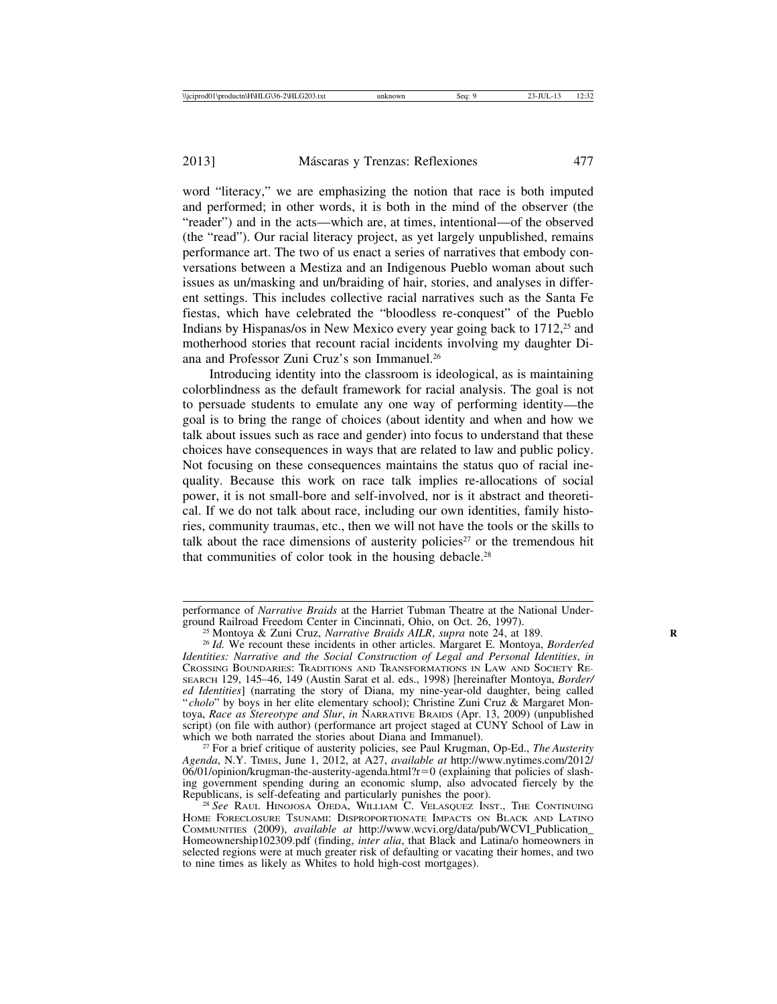word "literacy," we are emphasizing the notion that race is both imputed and performed; in other words, it is both in the mind of the observer (the "reader") and in the acts—which are, at times, intentional—of the observed (the "read"). Our racial literacy project, as yet largely unpublished, remains performance art. The two of us enact a series of narratives that embody conversations between a Mestiza and an Indigenous Pueblo woman about such issues as un/masking and un/braiding of hair, stories, and analyses in different settings. This includes collective racial narratives such as the Santa Fe fiestas, which have celebrated the "bloodless re-conquest" of the Pueblo Indians by Hispanas/os in New Mexico every year going back to  $1712$ <sup>25</sup> and motherhood stories that recount racial incidents involving my daughter Diana and Professor Zuni Cruz's son Immanuel.26

Introducing identity into the classroom is ideological, as is maintaining colorblindness as the default framework for racial analysis. The goal is not to persuade students to emulate any one way of performing identity—the goal is to bring the range of choices (about identity and when and how we talk about issues such as race and gender) into focus to understand that these choices have consequences in ways that are related to law and public policy. Not focusing on these consequences maintains the status quo of racial inequality. Because this work on race talk implies re-allocations of social power, it is not small-bore and self-involved, nor is it abstract and theoretical. If we do not talk about race, including our own identities, family histories, community traumas, etc., then we will not have the tools or the skills to talk about the race dimensions of austerity policies<sup>27</sup> or the tremendous hit that communities of color took in the housing debacle.28

<sup>27</sup> For a brief critique of austerity policies, see Paul Krugman, Op-Ed., *The Austerity Agenda*, N.Y. TIMES, June 1, 2012, at A27, *available at* http://www.nytimes.com/2012/  $06/01$ /opinion/krugman-the-austerity-agenda.html?r=0 (explaining that policies of slashing government spending during an economic slump, also advocated fiercely by the Republicans, is self-defeating and particularly punishes the poor).

performance of *Narrative Braids* at the Harriet Tubman Theatre at the National Under-

<sup>&</sup>lt;sup>25</sup> Montoya & Zuni Cruz, *Narrative Braids AILR*, *supra* note 24, at 189.<br><sup>26</sup> *Id.* We recount these incidents in other articles. Margaret E. Montoya, *Border/ed* 

*Identities: Narrative and the Social Construction of Legal and Personal Identities*, *in* CROSSING BOUNDARIES: TRADITIONS AND TRANSFORMATIONS IN LAW AND SOCIETY RE-SEARCH 129, 145–46, 149 (Austin Sarat et al. eds., 1998) [hereinafter Montoya, *Border/ ed Identities*] (narrating the story of Diana, my nine-year-old daughter, being called " *cholo*" by boys in her elite elementary school); Christine Zuni Cruz & Margaret Montoya, *Race as Stereotype and Slur*, *in* NARRATIVE BRAIDS (Apr. 13, 2009) (unpublished script) (on file with author) (performance art project staged at CUNY School of Law in which we both narrated the stories about Diana and Immanuel).

<sup>&</sup>lt;sup>28</sup> See RAUL HINOJOSA OJEDA, WILLIAM C. VELASQUEZ INST., THE CONTINUING HOME FORECLOSURE TSUNAMI: DISPROPORTIONATE IMPACTS ON BLACK AND LATINO COMMUNITIES (2009), *available at* http://www.wcvi.org/data/pub/WCVI\_Publication\_ Homeownership102309.pdf (finding, *inter alia*, that Black and Latina/o homeowners in selected regions were at much greater risk of defaulting or vacating their homes, and two to nine times as likely as Whites to hold high-cost mortgages).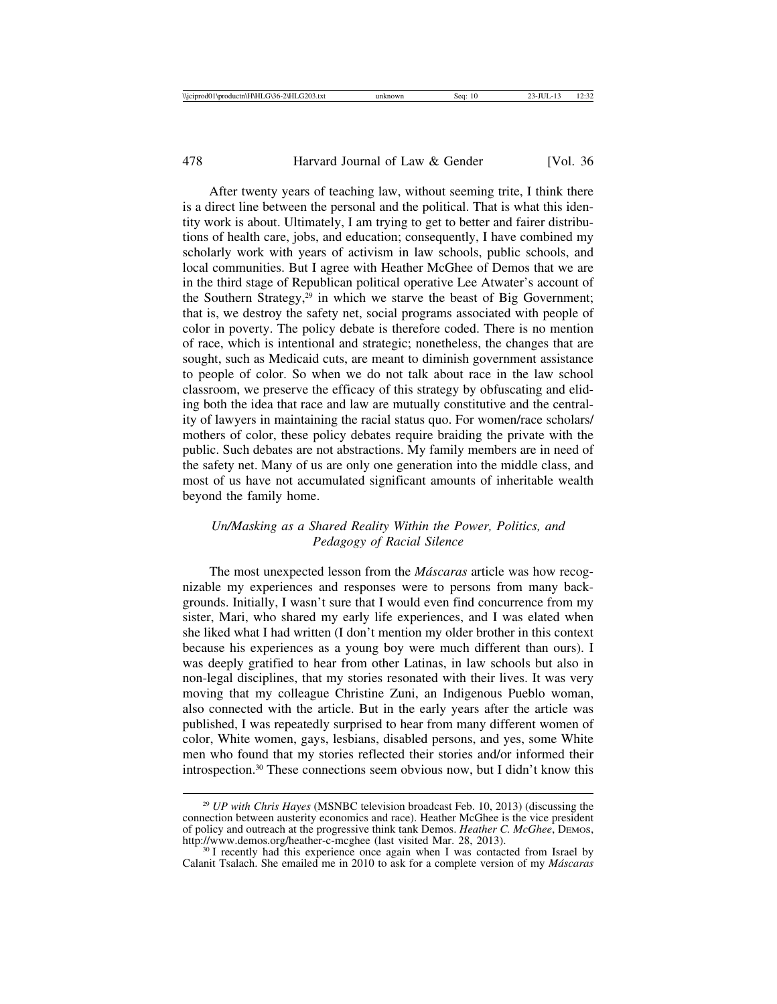After twenty years of teaching law, without seeming trite, I think there is a direct line between the personal and the political. That is what this identity work is about. Ultimately, I am trying to get to better and fairer distributions of health care, jobs, and education; consequently, I have combined my scholarly work with years of activism in law schools, public schools, and local communities. But I agree with Heather McGhee of Demos that we are in the third stage of Republican political operative Lee Atwater's account of the Southern Strategy,<sup>29</sup> in which we starve the beast of Big Government; that is, we destroy the safety net, social programs associated with people of color in poverty. The policy debate is therefore coded. There is no mention of race, which is intentional and strategic; nonetheless, the changes that are sought, such as Medicaid cuts, are meant to diminish government assistance to people of color. So when we do not talk about race in the law school classroom, we preserve the efficacy of this strategy by obfuscating and eliding both the idea that race and law are mutually constitutive and the centrality of lawyers in maintaining the racial status quo. For women/race scholars/ mothers of color, these policy debates require braiding the private with the public. Such debates are not abstractions. My family members are in need of the safety net. Many of us are only one generation into the middle class, and most of us have not accumulated significant amounts of inheritable wealth beyond the family home.

## *Un/Masking as a Shared Reality Within the Power, Politics, and Pedagogy of Racial Silence*

The most unexpected lesson from the *Máscaras* article was how recognizable my experiences and responses were to persons from many backgrounds. Initially, I wasn't sure that I would even find concurrence from my sister, Mari, who shared my early life experiences, and I was elated when she liked what I had written (I don't mention my older brother in this context because his experiences as a young boy were much different than ours). I was deeply gratified to hear from other Latinas, in law schools but also in non-legal disciplines, that my stories resonated with their lives. It was very moving that my colleague Christine Zuni, an Indigenous Pueblo woman, also connected with the article. But in the early years after the article was published, I was repeatedly surprised to hear from many different women of color, White women, gays, lesbians, disabled persons, and yes, some White men who found that my stories reflected their stories and/or informed their introspection.30 These connections seem obvious now, but I didn't know this

<sup>29</sup> *UP with Chris Hayes* (MSNBC television broadcast Feb. 10, 2013) (discussing the connection between austerity economics and race). Heather McGhee is the vice president of policy and outreach at the progressive think tank Demos. *Heather C. McGhee*, DEMOS, http://www.demos.org/heather-c-mcghee (last visited Mar. 28, 2013).

 $30$  I recently had this experience once again when I was contacted from Israel by Calanit Tsalach. She emailed me in 2010 to ask for a complete version of my *M´ascaras*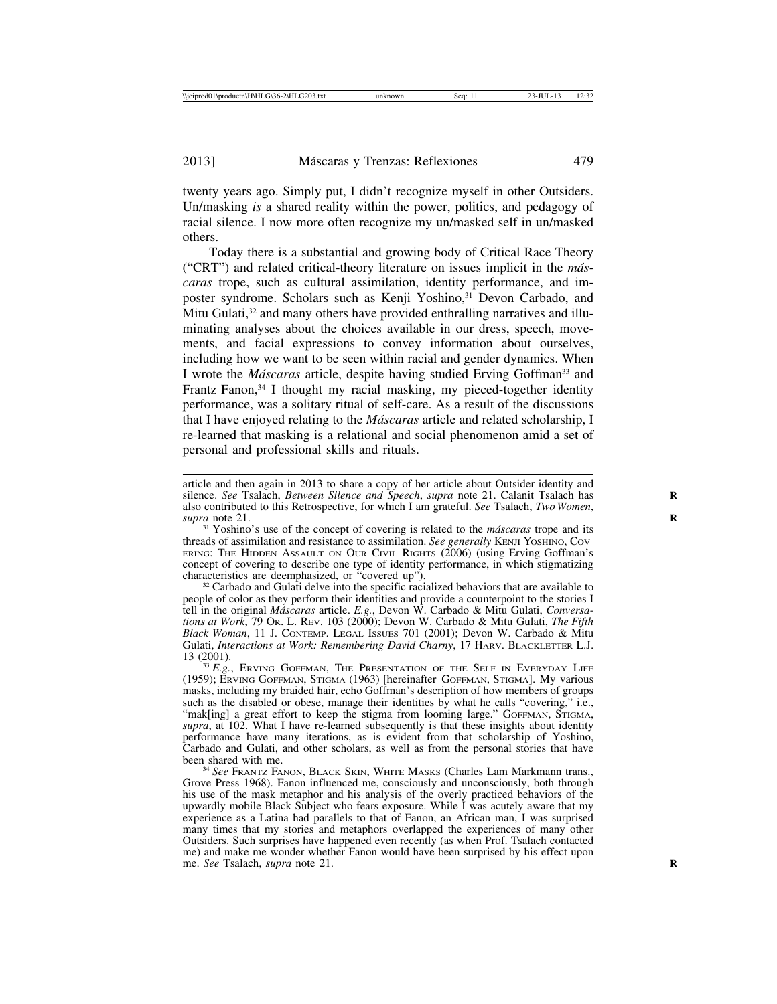twenty years ago. Simply put, I didn't recognize myself in other Outsiders. Un/masking *is* a shared reality within the power, politics, and pedagogy of racial silence. I now more often recognize my un/masked self in un/masked others.

Today there is a substantial and growing body of Critical Race Theory ("CRT") and related critical-theory literature on issues implicit in the *máscaras* trope, such as cultural assimilation, identity performance, and imposter syndrome. Scholars such as Kenji Yoshino,<sup>31</sup> Devon Carbado, and Mitu Gulati,<sup>32</sup> and many others have provided enthralling narratives and illuminating analyses about the choices available in our dress, speech, movements, and facial expressions to convey information about ourselves, including how we want to be seen within racial and gender dynamics. When I wrote the *Máscaras* article, despite having studied Erving Goffman<sup>33</sup> and Frantz Fanon,<sup>34</sup> I thought my racial masking, my pieced-together identity performance, was a solitary ritual of self-care. As a result of the discussions that I have enjoyed relating to the *M´ascaras* article and related scholarship, I re-learned that masking is a relational and social phenomenon amid a set of personal and professional skills and rituals.

article and then again in 2013 to share a copy of her article about Outsider identity and silence. *See* Tsalach, *Between Silence and Speech*, *supra* note 21. Calanit Tsalach has **R** also contributed to this Retrospective, for which I am grateful. *See* Tsalach, *Two Women*,

<sup>31</sup> Yoshino's use of the concept of covering is related to the *máscaras* trope and its threads of assimilation and resistance to assimilation. *See generally* KENJI YOSHINO, COV-ERING: THE HIDDEN ASSAULT ON OUR CIVIL RIGHTS (2006) (using Erving Goffman's concept of covering to describe one type of identity performance, in which stigmatizing characteristics are deemphasized, or "covered up").

 $32$  Carbado and Gulati delve into the specific racialized behaviors that are available to people of color as they perform their identities and provide a counterpoint to the stories I tell in the original *M´ascaras* article. *E.g.*, Devon W. Carbado & Mitu Gulati, *Conversations at Work*, 79 OR. L. REV. 103 (2000); Devon W. Carbado & Mitu Gulati, *The Fifth Black Woman*, 11 J. CONTEMP. LEGAL ISSUES 701 (2001); Devon W. Carbado & Mitu Gulati, *Interactions at Work: Remembering David Charny*, 17 HARV. BLACKLETTER L.J. 13 (2001).

 $133 E.g.,$  ERVING GOFFMAN, THE PRESENTATION OF THE SELF IN EVERYDAY LIFE (1959); ERVING GOFFMAN, STIGMA (1963) [hereinafter GOFFMAN, STIGMA]. My various masks, including my braided hair, echo Goffman's description of how members of groups such as the disabled or obese, manage their identities by what he calls "covering," i.e., "mak[ing] a great effort to keep the stigma from looming large." GOFFMAN, STIGMA, supra, at 102. What I have re-learned subsequently is that these insights about identity performance have many iterations, as is evident from that scholarship of Yoshino, Carbado and Gulati, and other scholars, as well as from the personal stories that have

<sup>34</sup> See FRANTZ FANON, BLACK SKIN, WHITE MASKS (Charles Lam Markmann trans., Grove Press 1968). Fanon influenced me, consciously and unconsciously, both through his use of the mask metaphor and his analysis of the overly practiced behaviors of the upwardly mobile Black Subject who fears exposure. While I was acutely aware that my experience as a Latina had parallels to that of Fanon, an African man, I was surprised many times that my stories and metaphors overlapped the experiences of many other Outsiders. Such surprises have happened even recently (as when Prof. Tsalach contacted me) and make me wonder whether Fanon would have been surprised by his effect upon me. *See* Tsalach, *supra* note 21.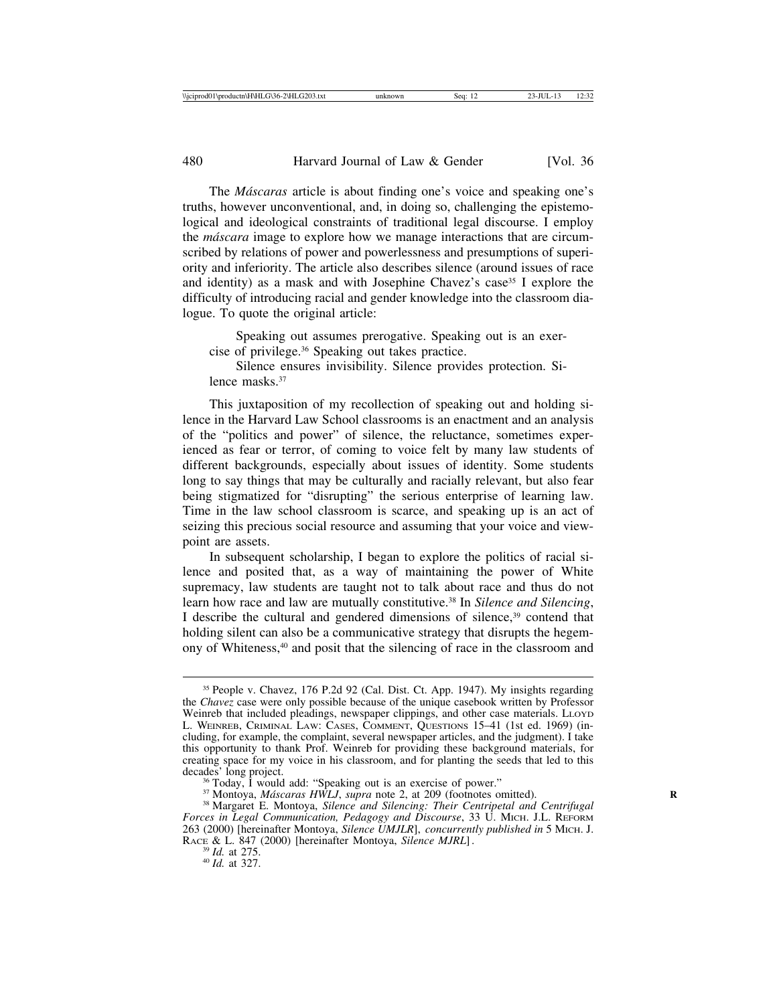The *M´ascaras* article is about finding one's voice and speaking one's truths, however unconventional, and, in doing so, challenging the epistemological and ideological constraints of traditional legal discourse. I employ the *m´ascara* image to explore how we manage interactions that are circumscribed by relations of power and powerlessness and presumptions of superiority and inferiority. The article also describes silence (around issues of race and identity) as a mask and with Josephine Chavez's case<sup>35</sup> I explore the difficulty of introducing racial and gender knowledge into the classroom dialogue. To quote the original article:

Speaking out assumes prerogative. Speaking out is an exercise of privilege.36 Speaking out takes practice.

Silence ensures invisibility. Silence provides protection. Silence masks.37

This juxtaposition of my recollection of speaking out and holding silence in the Harvard Law School classrooms is an enactment and an analysis of the "politics and power" of silence, the reluctance, sometimes experienced as fear or terror, of coming to voice felt by many law students of different backgrounds, especially about issues of identity. Some students long to say things that may be culturally and racially relevant, but also fear being stigmatized for "disrupting" the serious enterprise of learning law. Time in the law school classroom is scarce, and speaking up is an act of seizing this precious social resource and assuming that your voice and viewpoint are assets.

In subsequent scholarship, I began to explore the politics of racial silence and posited that, as a way of maintaining the power of White supremacy, law students are taught not to talk about race and thus do not learn how race and law are mutually constitutive.<sup>38</sup> In *Silence and Silencing*, I describe the cultural and gendered dimensions of silence, $39$  contend that holding silent can also be a communicative strategy that disrupts the hegemony of Whiteness,40 and posit that the silencing of race in the classroom and

<sup>35</sup> People v. Chavez, 176 P.2d 92 (Cal. Dist. Ct. App. 1947). My insights regarding the *Chavez* case were only possible because of the unique casebook written by Professor Weinreb that included pleadings, newspaper clippings, and other case materials. LLOYD L. WEINREB, CRIMINAL LAW: CASES, COMMENT, QUESTIONS 15–41 (1st ed. 1969) (including, for example, the complaint, several newspaper articles, and the judgment). I take this opportunity to thank Prof. Weinreb for providing these background materials, for creating space for my voice in his classroom, and for planting the seeds that led to this decades' long project.

<sup>&</sup>lt;sup>36</sup> Today, I would add: "Speaking out is an exercise of power."<br><sup>37</sup> Montoya, *Máscaras HWLJ*, *supra* note 2, at 209 (footnotes omitted).<br><sup>38</sup> Margaret E. Montoya, *Silence and Silencing: Their Centripetal and Centrifuga Forces in Legal Communication, Pedagogy and Discourse*, 33 U. MICH. J.L. REFORM 263 (2000) [hereinafter Montoya, *Silence UMJLR*], *concurrently published in* 5 MICH. J. RACE & L. 847 (2000) [hereinafter Montoya, *Silence MJRL*]. <sup>39</sup> *Id.* at 275. <sup>40</sup> *Id.* at 327.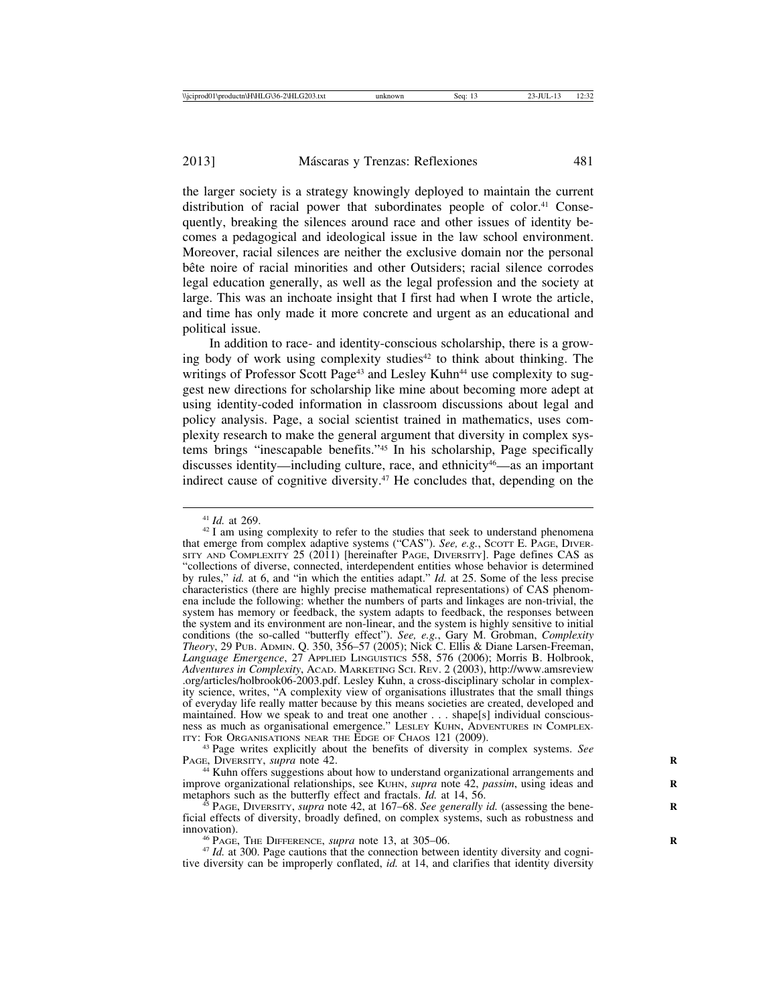the larger society is a strategy knowingly deployed to maintain the current distribution of racial power that subordinates people of color.<sup>41</sup> Consequently, breaking the silences around race and other issues of identity becomes a pedagogical and ideological issue in the law school environment. Moreover, racial silences are neither the exclusive domain nor the personal bête noire of racial minorities and other Outsiders; racial silence corrodes legal education generally, as well as the legal profession and the society at large. This was an inchoate insight that I first had when I wrote the article, and time has only made it more concrete and urgent as an educational and political issue.

In addition to race- and identity-conscious scholarship, there is a growing body of work using complexity studies $42$  to think about thinking. The writings of Professor Scott Page<sup>43</sup> and Lesley Kuhn<sup>44</sup> use complexity to suggest new directions for scholarship like mine about becoming more adept at using identity-coded information in classroom discussions about legal and policy analysis. Page, a social scientist trained in mathematics, uses complexity research to make the general argument that diversity in complex systems brings "inescapable benefits."45 In his scholarship, Page specifically discusses identity—including culture, race, and ethnicity<sup>46</sup>—as an important indirect cause of cognitive diversity.47 He concludes that, depending on the

<sup>43</sup> Page writes explicitly about the benefits of diversity in complex systems. *See* PAGE, DIVERSITY, *supra* note 42.

<sup>44</sup> Kuhn offers suggestions about how to understand organizational arrangements and improve organizational relationships, see KUHN, *supra* note 42, *passim*, using ideas and metaphors such as the butterfly effect and fractals. *Id.* at 14, 56.

<sup>5</sup> PAGE, DIVERSITY, *supra* note 42, at 167–68. *See generally id.* (assessing the beneficial effects of diversity, broadly defined, on complex systems, such as robustness and

<sup>46</sup> PAGE, THE DIFFERENCE, *supra* note 13, at 305–06. <sup>47</sup> *Id.* at 300. Page cautions that the connection between identity diversity and cognitive diversity can be improperly conflated, *id.* at 14, and clarifies that identity diversity

<sup>&</sup>lt;sup>41</sup> *Id.* at 269.  $\frac{42 \text{ I}}{24 \text{ I}}$  am using complexity to refer to the studies that seek to understand phenomena that emerge from complex adaptive systems ("CAS"). *See, e.g.*, SCOTT E. PAGE, DIVER-SITY AND COMPLEXITY 25 (2011) [hereinafter PAGE, DIVERSITY]. Page defines CAS as "collections of diverse, connected, interdependent entities whose behavior is determined by rules," *id.* at 6, and "in which the entities adapt." *Id.* at 25. Some of the less precise characteristics (there are highly precise mathematical representations) of CAS phenomena include the following: whether the numbers of parts and linkages are non-trivial, the system has memory or feedback, the system adapts to feedback, the responses between the system and its environment are non-linear, and the system is highly sensitive to initial conditions (the so-called "butterfly effect"). *See, e.g.*, Gary M. Grobman, *Complexity Theory*, 29 PUB. ADMIN. Q. 350, 356–57 (2005); Nick C. Ellis & Diane Larsen-Freeman, *Language Emergence*, 27 APPLIED LINGUISTICS 558, 576 (2006); Morris B. Holbrook, *Adventures in Complexity*, ACAD. MARKETING SCI. REV. 2 (2003), http://www.amsreview .org/articles/holbrook06-2003.pdf. Lesley Kuhn, a cross-disciplinary scholar in complexity science, writes, "A complexity view of organisations illustrates that the small things of everyday life really matter because by this means societies are created, developed and maintained. How we speak to and treat one another . . . shape[s] individual consciousness as much as organisational emergence." LESLEY KUHN, ADVENTURES IN COMPLEX-ITY: FOR ORGANISATIONS NEAR THE EDGE OF CHAOS 121 (2009).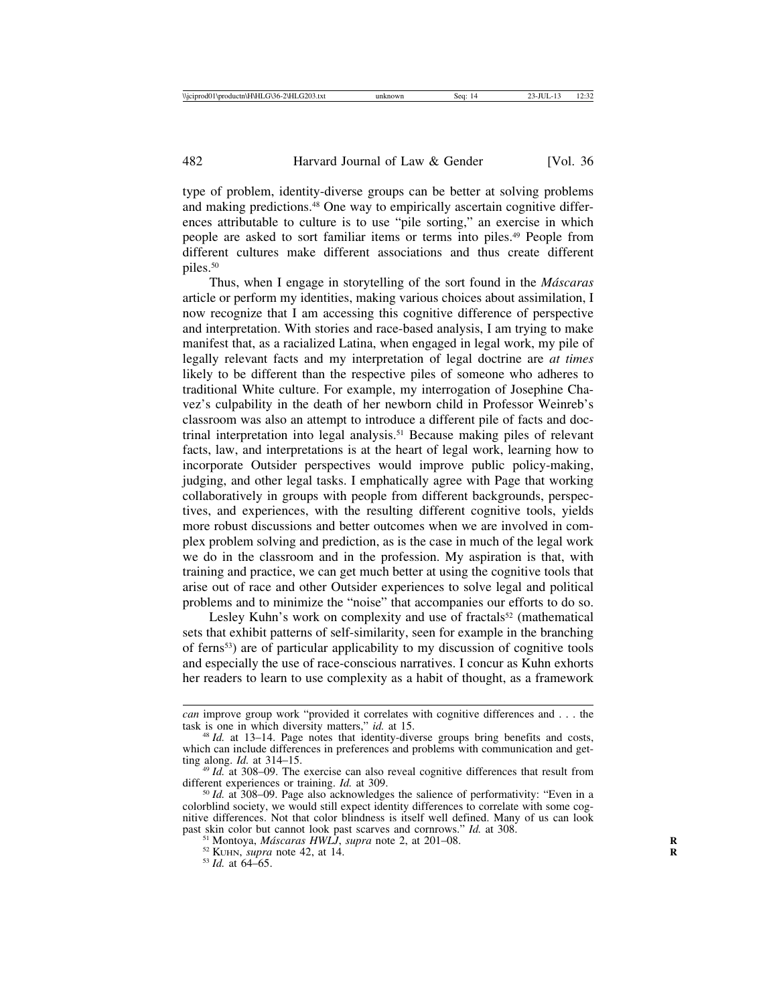type of problem, identity-diverse groups can be better at solving problems and making predictions.<sup>48</sup> One way to empirically ascertain cognitive differences attributable to culture is to use "pile sorting," an exercise in which people are asked to sort familiar items or terms into piles.49 People from different cultures make different associations and thus create different piles.50

Thus, when I engage in storytelling of the sort found in the *M´ascaras* article or perform my identities, making various choices about assimilation, I now recognize that I am accessing this cognitive difference of perspective and interpretation. With stories and race-based analysis, I am trying to make manifest that, as a racialized Latina, when engaged in legal work, my pile of legally relevant facts and my interpretation of legal doctrine are *at times* likely to be different than the respective piles of someone who adheres to traditional White culture. For example, my interrogation of Josephine Chavez's culpability in the death of her newborn child in Professor Weinreb's classroom was also an attempt to introduce a different pile of facts and doctrinal interpretation into legal analysis.51 Because making piles of relevant facts, law, and interpretations is at the heart of legal work, learning how to incorporate Outsider perspectives would improve public policy-making, judging, and other legal tasks. I emphatically agree with Page that working collaboratively in groups with people from different backgrounds, perspectives, and experiences, with the resulting different cognitive tools, yields more robust discussions and better outcomes when we are involved in complex problem solving and prediction, as is the case in much of the legal work we do in the classroom and in the profession. My aspiration is that, with training and practice, we can get much better at using the cognitive tools that arise out of race and other Outsider experiences to solve legal and political problems and to minimize the "noise" that accompanies our efforts to do so.

Lesley Kuhn's work on complexity and use of fractals<sup>52</sup> (mathematical sets that exhibit patterns of self-similarity, seen for example in the branching of ferns53) are of particular applicability to my discussion of cognitive tools and especially the use of race-conscious narratives. I concur as Kuhn exhorts her readers to learn to use complexity as a habit of thought, as a framework

*can* improve group work "provided it correlates with cognitive differences and . . . the task is one in which diversity matters," *id.* at 15.

 $t$ <sup>48</sup> *Id.* at 13–14. Page notes that identity-diverse groups bring benefits and costs, which can include differences in preferences and problems with communication and getting along.  $Id$ . at  $314-15$ .

<sup>&</sup>lt;sup>49</sup> *Id.* at 308–09. The exercise can also reveal cognitive differences that result from different experiences or training. *Id.* at 309.

<sup>&</sup>lt;sup>50</sup> *Id.* at 308–09. Page also acknowledges the salience of performativity: "Even in a colorblind society, we would still expect identity differences to correlate with some cognitive differences. Not that color blindness is itself well defined. Many of us can look past skin color but cannot look past scarves and cornrows." *Id.* at 308.<br><sup>51</sup> Montoya, *Máscaras HWLJ*, *supra* note 2, at 201–08.<br><sup>52</sup> KUHN, *supra* note 42, at 14.<br><sup>53</sup> *Id.* at 64–65.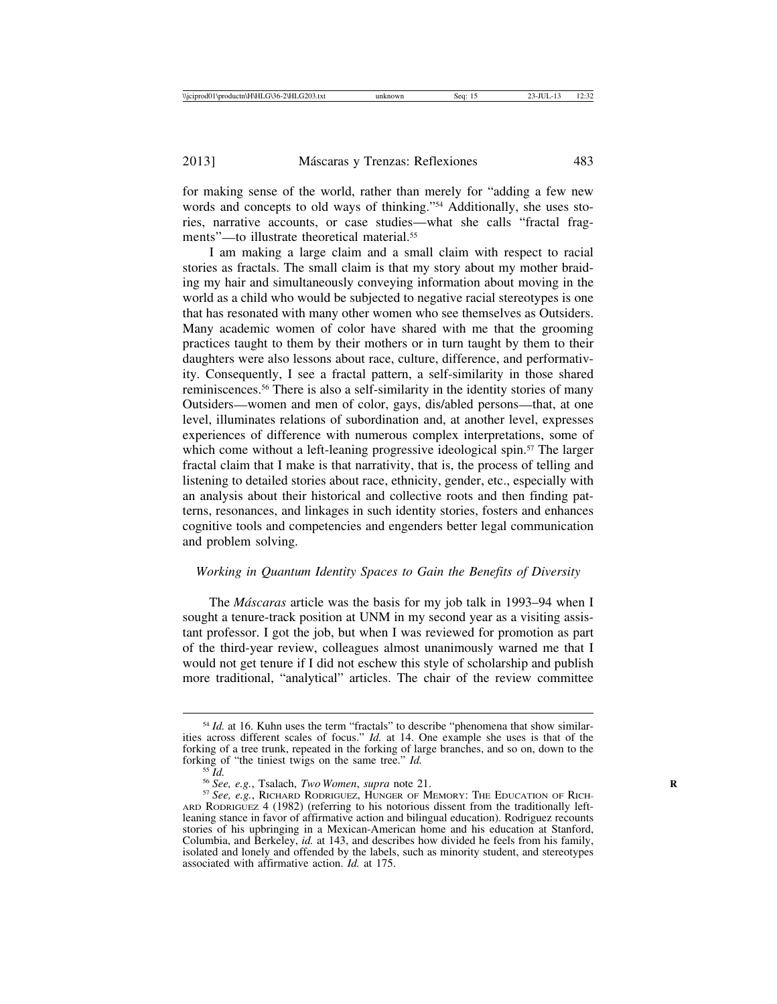for making sense of the world, rather than merely for "adding a few new words and concepts to old ways of thinking."54 Additionally, she uses stories, narrative accounts, or case studies—what she calls "fractal fragments"—to illustrate theoretical material.55

I am making a large claim and a small claim with respect to racial stories as fractals. The small claim is that my story about my mother braiding my hair and simultaneously conveying information about moving in the world as a child who would be subjected to negative racial stereotypes is one that has resonated with many other women who see themselves as Outsiders. Many academic women of color have shared with me that the grooming practices taught to them by their mothers or in turn taught by them to their daughters were also lessons about race, culture, difference, and performativity. Consequently, I see a fractal pattern, a self-similarity in those shared reminiscences.56 There is also a self-similarity in the identity stories of many Outsiders—women and men of color, gays, dis/abled persons—that, at one level, illuminates relations of subordination and, at another level, expresses experiences of difference with numerous complex interpretations, some of which come without a left-leaning progressive ideological spin.<sup>57</sup> The larger fractal claim that I make is that narrativity, that is, the process of telling and listening to detailed stories about race, ethnicity, gender, etc., especially with an analysis about their historical and collective roots and then finding patterns, resonances, and linkages in such identity stories, fosters and enhances cognitive tools and competencies and engenders better legal communication and problem solving.

#### *Working in Quantum Identity Spaces to Gain the Benefits of Diversity*

The *M´ascaras* article was the basis for my job talk in 1993–94 when I sought a tenure-track position at UNM in my second year as a visiting assistant professor. I got the job, but when I was reviewed for promotion as part of the third-year review, colleagues almost unanimously warned me that I would not get tenure if I did not eschew this style of scholarship and publish more traditional, "analytical" articles. The chair of the review committee

<sup>&</sup>lt;sup>54</sup> *Id.* at 16. Kuhn uses the term "fractals" to describe "phenomena that show similarities across different scales of focus." *Id.* at 14. One example she uses is that of the forking of a tree trunk, repeated in the forking of large branches, and so on, down to the forking of "the tiniest twigs on the same tree." *Id.*<br><sup>55</sup> *Id.*<br><sup>56</sup> See, e.g., Tsalach, *Two Women*, *supra* note 21.<br><sup>57</sup> See, e.g., RICHARD RODRIGUEZ, HUNGER OF MEMORY: THE EDUCATION OF RICH-

ARD RODRIGUEZ 4 (1982) (referring to his notorious dissent from the traditionally leftleaning stance in favor of affirmative action and bilingual education). Rodriguez recounts stories of his upbringing in a Mexican-American home and his education at Stanford, Columbia, and Berkeley, *id.* at 143, and describes how divided he feels from his family, isolated and lonely and offended by the labels, such as minority student, and stereotypes associated with affirmative action. *Id.* at 175.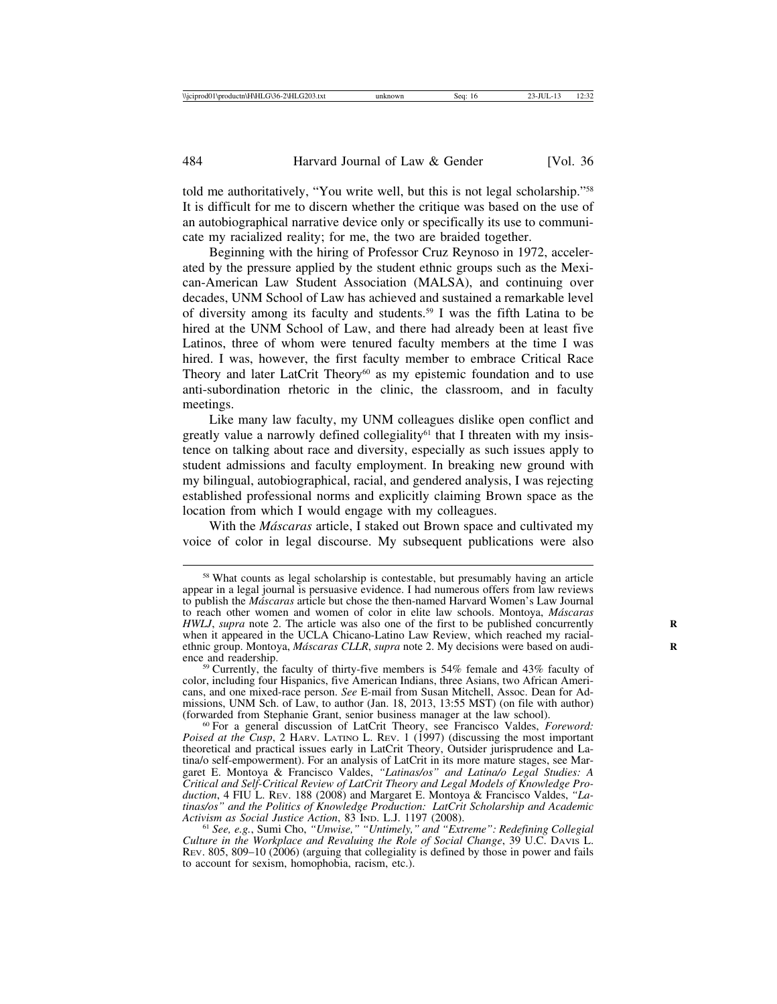told me authoritatively, "You write well, but this is not legal scholarship."58 It is difficult for me to discern whether the critique was based on the use of an autobiographical narrative device only or specifically its use to communicate my racialized reality; for me, the two are braided together.

Beginning with the hiring of Professor Cruz Reynoso in 1972, accelerated by the pressure applied by the student ethnic groups such as the Mexican-American Law Student Association (MALSA), and continuing over decades, UNM School of Law has achieved and sustained a remarkable level of diversity among its faculty and students.59 I was the fifth Latina to be hired at the UNM School of Law, and there had already been at least five Latinos, three of whom were tenured faculty members at the time I was hired. I was, however, the first faculty member to embrace Critical Race Theory and later LatCrit Theory<sup>60</sup> as my epistemic foundation and to use anti-subordination rhetoric in the clinic, the classroom, and in faculty meetings.

Like many law faculty, my UNM colleagues dislike open conflict and greatly value a narrowly defined collegiality<sup>61</sup> that I threaten with my insistence on talking about race and diversity, especially as such issues apply to student admissions and faculty employment. In breaking new ground with my bilingual, autobiographical, racial, and gendered analysis, I was rejecting established professional norms and explicitly claiming Brown space as the location from which I would engage with my colleagues.

With the *M´ascaras* article, I staked out Brown space and cultivated my voice of color in legal discourse. My subsequent publications were also

<sup>58</sup> What counts as legal scholarship is contestable, but presumably having an article appear in a legal journal is persuasive evidence. I had numerous offers from law reviews to publish the *M´ascaras* article but chose the then-named Harvard Women's Law Journal to reach other women and women of color in elite law schools. Montoya, *M´ascaras HWLJ*, *supra* note 2. The article was also one of the first to be published concurrently when it appeared in the UCLA Chicano-Latino Law Review, which reached my racialethnic group. Montoya, *Máscaras CLLR*, *supra* note 2. My decisions were based on audi- ence and readership.

 $59$  Currently, the faculty of thirty-five members is 54% female and 43% faculty of color, including four Hispanics, five American Indians, three Asians, two African Americans, and one mixed-race person. *See* E-mail from Susan Mitchell, Assoc. Dean for Admissions, UNM Sch. of Law, to author (Jan. 18, 2013, 13:55 MST) (on file with author) (forwarded from Stephanie Grant, senior business manager at the law school).

<sup>(</sup>forwarded from Stephanie Grant, senior business manager at the law school). <sup>60</sup> For a general discussion of LatCrit Theory, see Francisco Valdes, *Foreword: Poised at the Cusp*, 2 HARV. LATINO L. REV. 1 (1997) (discussing the most important theoretical and practical issues early in LatCrit Theory, Outsider jurisprudence and Latina/o self-empowerment). For an analysis of LatCrit in its more mature stages, see Margaret E. Montoya & Francisco Valdes, *"Latinas/os" and Latina/o Legal Studies: A Critical and Self-Critical Review of LatCrit Theory and Legal Models of Knowledge Production*, 4 FIU L. REV. 188 (2008) and Margaret E. Montoya & Francisco Valdes, *"Latinas/os" and the Politics of Knowledge Production: LatCrit Scholarship and Academic Activism as Social Justice Action*, 83 IND. L.J. 1197 (2008). <sup>61</sup> *See, e.g.*, Sumi Cho, *"Unwise," "Untimely," and "Extreme": Redefining Collegial*

*Culture in the Workplace and Revaluing the Role of Social Change*, 39 U.C. DAVIS L. REV. 805, 809–10 (2006) (arguing that collegiality is defined by those in power and fails to account for sexism, homophobia, racism, etc.).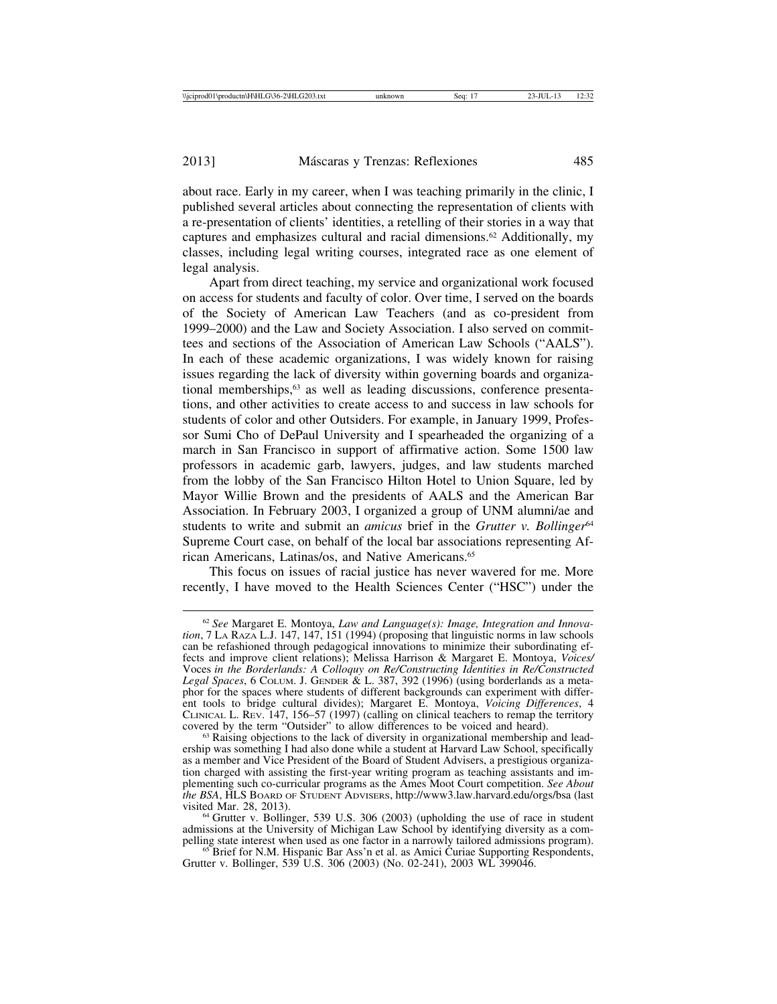about race. Early in my career, when I was teaching primarily in the clinic, I published several articles about connecting the representation of clients with a re-presentation of clients' identities, a retelling of their stories in a way that captures and emphasizes cultural and racial dimensions.62 Additionally, my classes, including legal writing courses, integrated race as one element of legal analysis.

Apart from direct teaching, my service and organizational work focused on access for students and faculty of color. Over time, I served on the boards of the Society of American Law Teachers (and as co-president from 1999–2000) and the Law and Society Association. I also served on committees and sections of the Association of American Law Schools ("AALS"). In each of these academic organizations, I was widely known for raising issues regarding the lack of diversity within governing boards and organizational memberships,<sup>63</sup> as well as leading discussions, conference presentations, and other activities to create access to and success in law schools for students of color and other Outsiders. For example, in January 1999, Professor Sumi Cho of DePaul University and I spearheaded the organizing of a march in San Francisco in support of affirmative action. Some 1500 law professors in academic garb, lawyers, judges, and law students marched from the lobby of the San Francisco Hilton Hotel to Union Square, led by Mayor Willie Brown and the presidents of AALS and the American Bar Association. In February 2003, I organized a group of UNM alumni/ae and students to write and submit an *amicus* brief in the *Grutter v. Bollinger*<sup>64</sup> Supreme Court case, on behalf of the local bar associations representing African Americans, Latinas/os, and Native Americans.65

This focus on issues of racial justice has never wavered for me. More recently, I have moved to the Health Sciences Center ("HSC") under the

<sup>62</sup> *See* Margaret E. Montoya, *Law and Language(s): Image, Integration and Innovation*, 7 LA RAZA L.J. 147, 147, 151 (1994) (proposing that linguistic norms in law schools can be refashioned through pedagogical innovations to minimize their subordinating effects and improve client relations); Melissa Harrison & Margaret E. Montoya, *Voices/* Voces *in the Borderlands: A Colloquy on Re/Constructing Identities in Re/Constructed Legal Spaces*, 6 COLUM. J. GENDER & L. 387, 392 (1996) (using borderlands as a metaphor for the spaces where students of different backgrounds can experiment with different tools to bridge cultural divides); Margaret E. Montoya, *Voicing Differences*, 4 CLINICAL L. REV. 147, 156–57 (1997) (calling on clinical teachers to remap the territory covered by the term "Outsider" to allow differences to be voiced and heard).<br><sup>63</sup> Raising objections to the lack of diversity in organizational membership and lead-

ership was something I had also done while a student at Harvard Law School, specifically as a member and Vice President of the Board of Student Advisers, a prestigious organization charged with assisting the first-year writing program as teaching assistants and implementing such co-curricular programs as the Ames Moot Court competition. *See About the BSA*, HLS BOARD OF STUDENT ADVISERS, http://www3.law.harvard.edu/orgs/bsa (last

 $64$  Grutter v. Bollinger, 539 U.S. 306 (2003) (upholding the use of race in student admissions at the University of Michigan Law School by identifying diversity as a compelling state interest when used as one factor in a narrowly tailored admissions program). <sup>65</sup> Brief for N.M. Hispanic Bar Ass'n et al. as Amici Curiae Supporting Respondents,

Grutter v. Bollinger, 539 U.S. 306 (2003) (No. 02-241), 2003 WL 399046.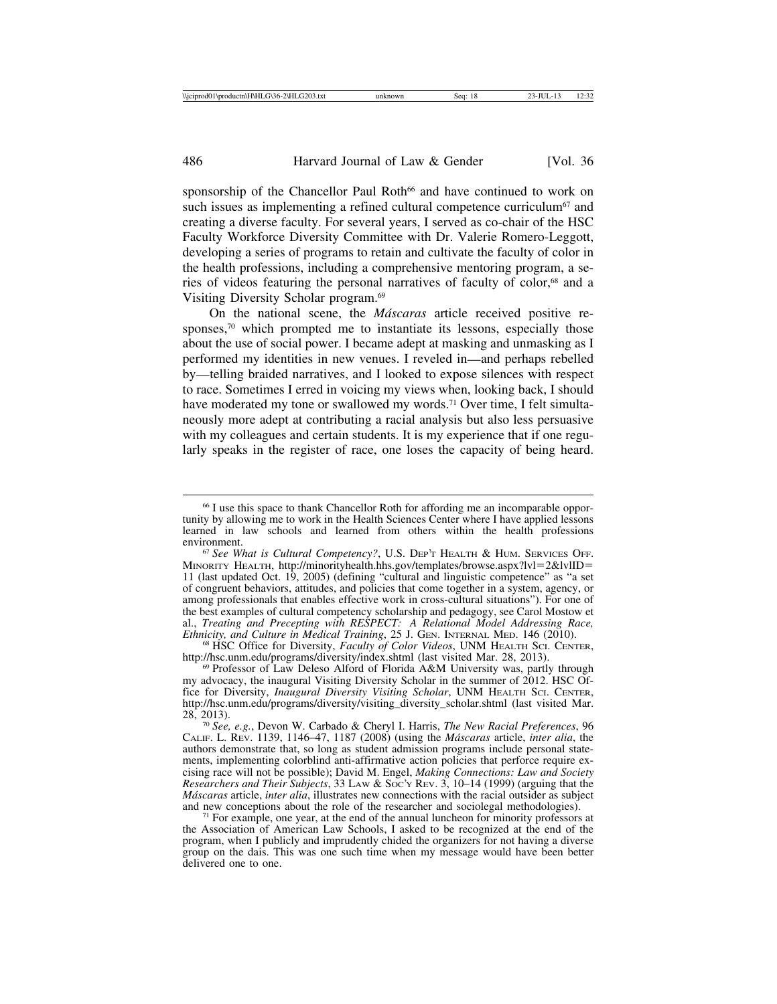sponsorship of the Chancellor Paul Roth<sup>66</sup> and have continued to work on such issues as implementing a refined cultural competence curriculum<sup> $67$ </sup> and creating a diverse faculty. For several years, I served as co-chair of the HSC Faculty Workforce Diversity Committee with Dr. Valerie Romero-Leggott, developing a series of programs to retain and cultivate the faculty of color in the health professions, including a comprehensive mentoring program, a series of videos featuring the personal narratives of faculty of color,<sup>68</sup> and a Visiting Diversity Scholar program.69

On the national scene, the *Máscaras* article received positive responses,<sup>70</sup> which prompted me to instantiate its lessons, especially those about the use of social power. I became adept at masking and unmasking as I performed my identities in new venues. I reveled in—and perhaps rebelled by—telling braided narratives, and I looked to expose silences with respect to race. Sometimes I erred in voicing my views when, looking back, I should have moderated my tone or swallowed my words.<sup>71</sup> Over time, I felt simultaneously more adept at contributing a racial analysis but also less persuasive with my colleagues and certain students. It is my experience that if one regularly speaks in the register of race, one loses the capacity of being heard.

http://hsc.unm.edu/programs/diversity/index.shtml (last visited Mar. 28, 2013).<br><sup>69</sup> Professor of Law Deleso Alford of Florida A&M University was, partly through

<sup>66</sup> I use this space to thank Chancellor Roth for affording me an incomparable opportunity by allowing me to work in the Health Sciences Center where I have applied lessons learned in law schools and learned from others within the health professions environment.

<sup>&</sup>lt;sup>67</sup> See What is Cultural Competency?, U.S. DEP'T HEALTH & HUM. SERVICES OFF. MINORITY HEALTH, http://minorityhealth.hhs.gov/templates/browse.aspx?lvl=2&lvlID= 11 (last updated Oct. 19, 2005) (defining "cultural and linguistic competence" as "a set of congruent behaviors, attitudes, and policies that come together in a system, agency, or among professionals that enables effective work in cross-cultural situations"). For one of the best examples of cultural competency scholarship and pedagogy, see Carol Mostow et al., *Treating and Precepting with RESPECT: A Relational Model Addressing Race,*<br>*Ethnicity, and Culture in Medical Training*, 25 J. GEN. INTERNAL MED. 146 (2010).<br><sup>68</sup> HSC Office for Diversity, *Faculty of Color Videos*,

my advocacy, the inaugural Visiting Diversity Scholar in the summer of 2012. HSC Office for Diversity, *Inaugural Diversity Visiting Scholar*, UNM HEALTH SCI. CENTER, http://hsc.unm.edu/programs/diversity/visiting\_diversity\_scholar.shtml (last visited Mar.

<sup>28, 2013).</sup> <sup>70</sup> *See, e.g.*, Devon W. Carbado & Cheryl I. Harris, *The New Racial Preferences*, 96 CALIF. L. REV. 1139, 1146–47, 1187 (2008) (using the *M´ascaras* article, *inter alia*, the authors demonstrate that, so long as student admission programs include personal statements, implementing colorblind anti-affirmative action policies that perforce require excising race will not be possible); David M. Engel, *Making Connections: Law and Society Researchers and Their Subjects*, 33 LAW & SOC'Y REV. 3, 10–14 (1999) (arguing that the *Máscaras* article, *inter alia*, illustrates new connections with the racial outsider as subject and new conceptions about the role of the researcher and sociolegal methodologies).

 $71$  For example, one year, at the end of the annual luncheon for minority professors at the Association of American Law Schools, I asked to be recognized at the end of the program, when I publicly and imprudently chided the organizers for not having a diverse group on the dais. This was one such time when my message would have been better delivered one to one.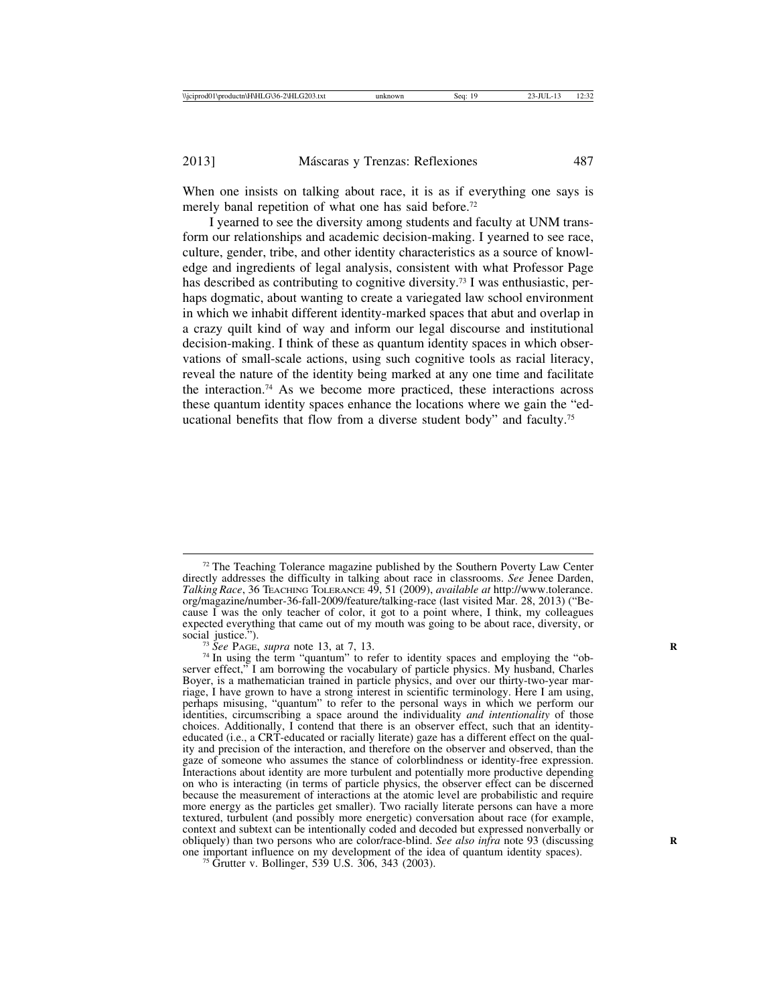When one insists on talking about race, it is as if everything one says is merely banal repetition of what one has said before.<sup>72</sup>

I yearned to see the diversity among students and faculty at UNM transform our relationships and academic decision-making. I yearned to see race, culture, gender, tribe, and other identity characteristics as a source of knowledge and ingredients of legal analysis, consistent with what Professor Page has described as contributing to cognitive diversity.73 I was enthusiastic, perhaps dogmatic, about wanting to create a variegated law school environment in which we inhabit different identity-marked spaces that abut and overlap in a crazy quilt kind of way and inform our legal discourse and institutional decision-making. I think of these as quantum identity spaces in which observations of small-scale actions, using such cognitive tools as racial literacy, reveal the nature of the identity being marked at any one time and facilitate the interaction.74 As we become more practiced, these interactions across these quantum identity spaces enhance the locations where we gain the "educational benefits that flow from a diverse student body" and faculty.75

 $72$  The Teaching Tolerance magazine published by the Southern Poverty Law Center directly addresses the difficulty in talking about race in classrooms. *See* Jenee Darden, *Talking Race*, 36 TEACHING TOLERANCE 49, 51 (2009), *available at* http://www.tolerance. org/magazine/number-36-fall-2009/feature/talking-race (last visited Mar. 28, 2013) ("Because I was the only teacher of color, it got to a point where, I think, my colleagues expected everything that came out of my mouth was going to be about race, diversity, or social justice.").

<sup>&</sup>lt;sup>73</sup> See PAGE, *supra* note 13, at 7, 13.  $P^3$  is the term "quantum" to refer to identity spaces and employing the "observer effect," I am borrowing the vocabulary of particle physics. My husband, Charles Boyer, is a mathematician trained in particle physics, and over our thirty-two-year marriage, I have grown to have a strong interest in scientific terminology. Here I am using, perhaps misusing, "quantum" to refer to the personal ways in which we perform our identities, circumscribing a space around the individuality *and intentionality* of those choices. Additionally, I contend that there is an observer effect, such that an identityeducated (i.e., a CRT-educated or racially literate) gaze has a different effect on the quality and precision of the interaction, and therefore on the observer and observed, than the gaze of someone who assumes the stance of colorblindness or identity-free expression. Interactions about identity are more turbulent and potentially more productive depending on who is interacting (in terms of particle physics, the observer effect can be discerned because the measurement of interactions at the atomic level are probabilistic and require more energy as the particles get smaller). Two racially literate persons can have a more textured, turbulent (and possibly more energetic) conversation about race (for example, context and subtext can be intentionally coded and decoded but expressed nonverbally or obliquely) than two persons who are color/race-blind. *See also infra* note 93 (discussing **R** one important influence on my development of the idea of quantum identity spaces). <sup>75</sup> Grutter v. Bollinger, 539 U.S. 306, 343 (2003).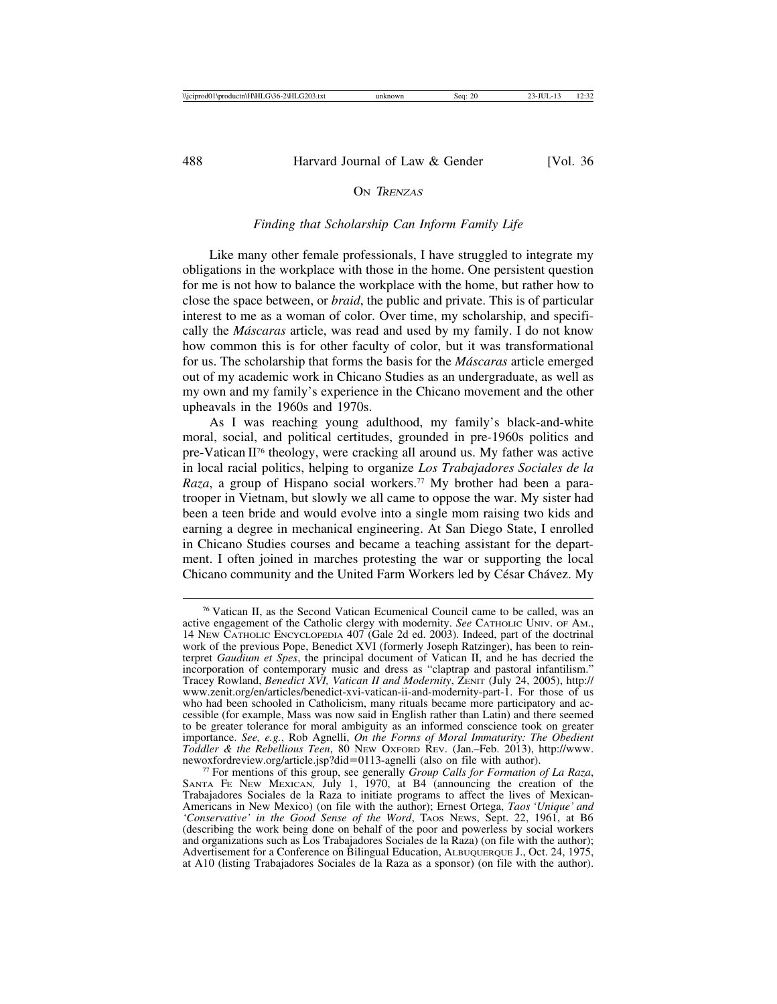## ON TRENZAS

#### *Finding that Scholarship Can Inform Family Life*

Like many other female professionals, I have struggled to integrate my obligations in the workplace with those in the home. One persistent question for me is not how to balance the workplace with the home, but rather how to close the space between, or *braid*, the public and private. This is of particular interest to me as a woman of color. Over time, my scholarship, and specifically the *M´ascaras* article, was read and used by my family. I do not know how common this is for other faculty of color, but it was transformational for us. The scholarship that forms the basis for the *M´ascaras* article emerged out of my academic work in Chicano Studies as an undergraduate, as well as my own and my family's experience in the Chicano movement and the other upheavals in the 1960s and 1970s.

As I was reaching young adulthood, my family's black-and-white moral, social, and political certitudes, grounded in pre-1960s politics and pre-Vatican II76 theology, were cracking all around us. My father was active in local racial politics, helping to organize *Los Trabajadores Sociales de la Raza*, a group of Hispano social workers.<sup>77</sup> My brother had been a paratrooper in Vietnam, but slowly we all came to oppose the war. My sister had been a teen bride and would evolve into a single mom raising two kids and earning a degree in mechanical engineering. At San Diego State, I enrolled in Chicano Studies courses and became a teaching assistant for the department. I often joined in marches protesting the war or supporting the local Chicano community and the United Farm Workers led by César Chávez. My

<sup>76</sup> Vatican II, as the Second Vatican Ecumenical Council came to be called, was an active engagement of the Catholic clergy with modernity. *See* CATHOLIC UNIV. OF AM., 14 NEW CATHOLIC ENCYCLOPEDIA 407 (Gale 2d ed. 2003). Indeed, part of the doctrinal work of the previous Pope, Benedict XVI (formerly Joseph Ratzinger), has been to reinterpret *Gaudium et Spes*, the principal document of Vatican II, and he has decried the incorporation of contemporary music and dress as "claptrap and pastoral infantilism." Tracey Rowland, *Benedict XVI, Vatican II and Modernity*, ZENIT (July 24, 2005), http:// www.zenit.org/en/articles/benedict-xvi-vatican-ii-and-modernity-part-1. For those of us who had been schooled in Catholicism, many rituals became more participatory and accessible (for example, Mass was now said in English rather than Latin) and there seemed to be greater tolerance for moral ambiguity as an informed conscience took on greater importance. *See, e.g.*, Rob Agnelli, *On the Forms of Moral Immaturity: The Obedient Toddler & the Rebellious Teen*, 80 NEW OXFORD REV. (Jan.–Feb. 2013), http://www.

<sup>&</sup>lt;sup>77</sup> For mentions of this group, see generally *Group Calls for Formation of La Raza*, SANTA FE NEW MEXICAN*,* July 1, 1970, at B4 (announcing the creation of the Trabajadores Sociales de la Raza to initiate programs to affect the lives of Mexican-Americans in New Mexico) (on file with the author); Ernest Ortega, *Taos 'Unique' and 'Conservative' in the Good Sense of the Word*, TAOS NEWS, Sept. 22, 1961, at B6 (describing the work being done on behalf of the poor and powerless by social workers and organizations such as Los Trabajadores Sociales de la Raza) (on file with the author); Advertisement for a Conference on Bilingual Education, ALBUQUERQUE J., Oct. 24, 1975, at A10 (listing Trabajadores Sociales de la Raza as a sponsor) (on file with the author).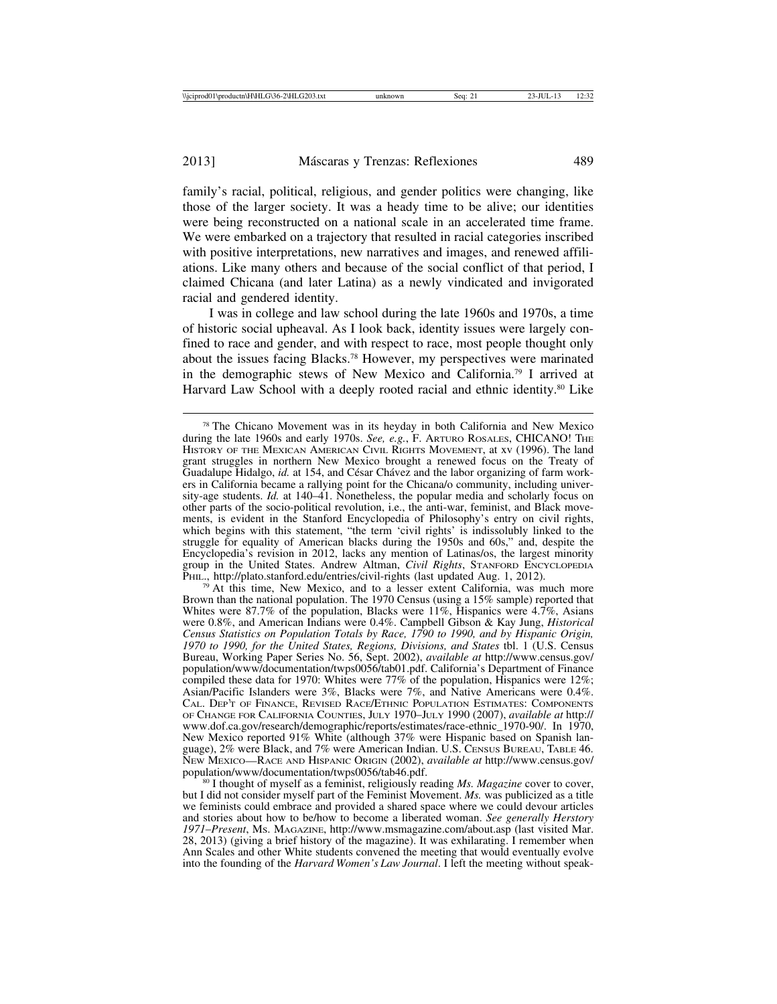family's racial, political, religious, and gender politics were changing, like those of the larger society. It was a heady time to be alive; our identities were being reconstructed on a national scale in an accelerated time frame. We were embarked on a trajectory that resulted in racial categories inscribed with positive interpretations, new narratives and images, and renewed affiliations. Like many others and because of the social conflict of that period, I claimed Chicana (and later Latina) as a newly vindicated and invigorated racial and gendered identity.

I was in college and law school during the late 1960s and 1970s, a time of historic social upheaval. As I look back, identity issues were largely confined to race and gender, and with respect to race, most people thought only about the issues facing Blacks.78 However, my perspectives were marinated in the demographic stews of New Mexico and California.79 I arrived at Harvard Law School with a deeply rooted racial and ethnic identity.<sup>80</sup> Like

 $\frac{79}{19}$  At this time, New Mexico, and to a lesser extent California, was much more Brown than the national population. The 1970 Census (using a 15% sample) reported that Whites were 87.7% of the population, Blacks were 11%, Hispanics were  $4.7\%$ , Asians were 0.8%, and American Indians were 0.4%. Campbell Gibson & Kay Jung, *Historical Census Statistics on Population Totals by Race, 1790 to 1990, and by Hispanic Origin, 1970 to 1990, for the United States, Regions, Divisions, and States* tbl. 1 (U.S. Census Bureau, Working Paper Series No. 56, Sept. 2002), *available at* http://www.census.gov/ population/www/documentation/twps0056/tab01.pdf. California's Department of Finance compiled these data for 1970: Whites were  $77\%$  of the population, Hispanics were  $12\%$ ; Asian/Pacific Islanders were 3%, Blacks were 7%, and Native Americans were 0.4%. CAL. DEP'T OF FINANCE, REVISED RACE/ETHNIC POPULATION ESTIMATES: COMPONENTS OF CHANGE FOR CALIFORNIA COUNTIES, JULY 1970–JULY 1990 (2007), *available at* http:// www.dof.ca.gov/research/demographic/reports/estimates/race-ethnic\_1970-90/. In 1970, New Mexico reported 91% White (although 37% were Hispanic based on Spanish language), 2% were Black, and 7% were American Indian. U.S. CENSUS BUREAU, TABLE 46. NEW MEXICO—RACE AND HISPANIC ORIGIN (2002), *available at* http://www.census.gov/

<sup>80</sup> I thought of myself as a feminist, religiously reading *Ms. Magazine* cover to cover, but I did not consider myself part of the Feminist Movement. *Ms.* was publicized as a title we feminists could embrace and provided a shared space where we could devour articles and stories about how to be/how to become a liberated woman. *See generally Herstory 1971*–*Present*, MS. MAGAZINE, http://www.msmagazine.com/about.asp (last visited Mar. 28, 2013) (giving a brief history of the magazine). It was exhilarating. I remember when Ann Scales and other White students convened the meeting that would eventually evolve into the founding of the *Harvard Women's Law Journal*. I left the meeting without speak-

<sup>78</sup> The Chicano Movement was in its heyday in both California and New Mexico during the late 1960s and early 1970s. *See, e.g.*, F. ARTURO ROSALES, CHICANO! THE HISTORY OF THE MEXICAN AMERICAN CIVIL RIGHTS MOVEMENT, at xv (1996). The land grant struggles in northern New Mexico brought a renewed focus on the Treaty of Guadalupe Hidalgo, *id.* at 154, and César Chávez and the labor organizing of farm workers in California became a rallying point for the Chicana/o community, including university-age students. *Id.* at 140–41. Nonetheless, the popular media and scholarly focus on other parts of the socio-political revolution, i.e., the anti-war, feminist, and Black movements, is evident in the Stanford Encyclopedia of Philosophy's entry on civil rights, which begins with this statement, "the term 'civil rights' is indissolubly linked to the struggle for equality of American blacks during the 1950s and 60s," and, despite the Encyclopedia's revision in 2012, lacks any mention of Latinas/os, the largest minority group in the United States. Andrew Altman, *Civil Rights*, STANFORD ENCYCLOPEDIA PHIL., http://plato.stanford.edu/entries/civil-rights (last updated Aug. 1, 2012).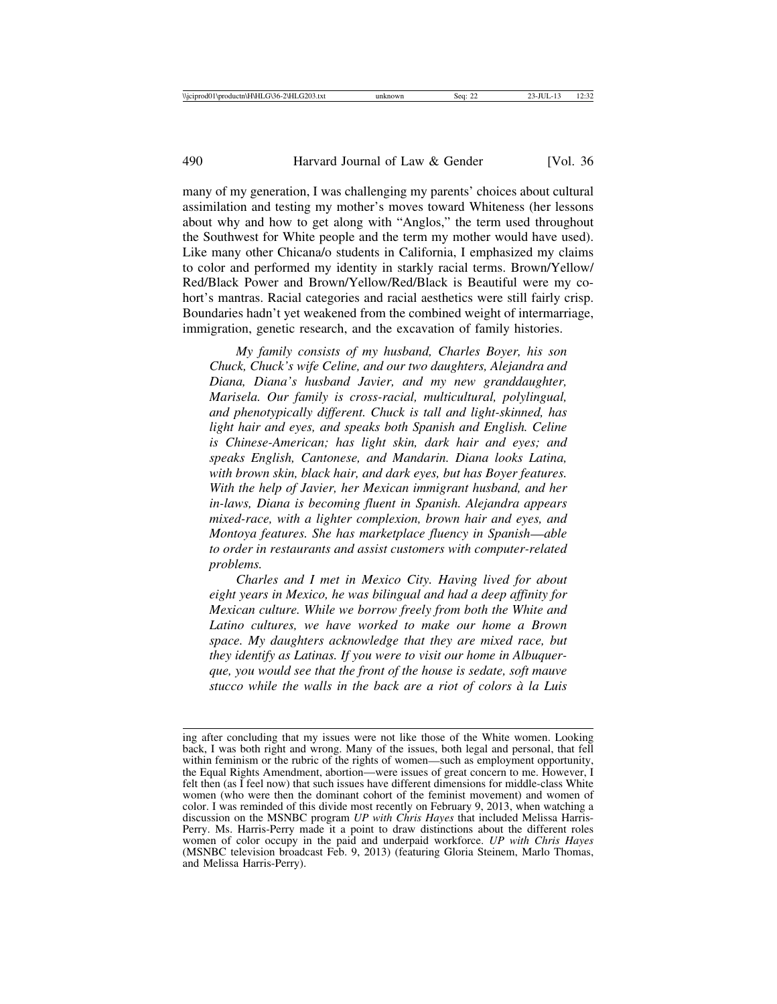many of my generation, I was challenging my parents' choices about cultural assimilation and testing my mother's moves toward Whiteness (her lessons about why and how to get along with "Anglos," the term used throughout the Southwest for White people and the term my mother would have used). Like many other Chicana/o students in California, I emphasized my claims to color and performed my identity in starkly racial terms. Brown/Yellow/ Red/Black Power and Brown/Yellow/Red/Black is Beautiful were my cohort's mantras. Racial categories and racial aesthetics were still fairly crisp. Boundaries hadn't yet weakened from the combined weight of intermarriage, immigration, genetic research, and the excavation of family histories.

*My family consists of my husband, Charles Boyer, his son Chuck, Chuck's wife Celine, and our two daughters, Alejandra and Diana, Diana's husband Javier, and my new granddaughter, Marisela. Our family is cross-racial, multicultural, polylingual, and phenotypically different. Chuck is tall and light-skinned, has light hair and eyes, and speaks both Spanish and English. Celine is Chinese-American; has light skin, dark hair and eyes; and speaks English, Cantonese, and Mandarin. Diana looks Latina, with brown skin, black hair, and dark eyes, but has Boyer features. With the help of Javier, her Mexican immigrant husband, and her in-laws, Diana is becoming fluent in Spanish. Alejandra appears mixed-race, with a lighter complexion, brown hair and eyes, and Montoya features. She has marketplace fluency in Spanish*—*able to order in restaurants and assist customers with computer-related problems.*

*Charles and I met in Mexico City. Having lived for about eight years in Mexico, he was bilingual and had a deep affinity for Mexican culture. While we borrow freely from both the White and Latino cultures, we have worked to make our home a Brown space. My daughters acknowledge that they are mixed race, but they identify as Latinas. If you were to visit our home in Albuquerque, you would see that the front of the house is sedate, soft mauve stucco while the walls in the back are a riot of colors `a la Luis*

ing after concluding that my issues were not like those of the White women. Looking back, I was both right and wrong. Many of the issues, both legal and personal, that fell within feminism or the rubric of the rights of women—such as employment opportunity, the Equal Rights Amendment, abortion—were issues of great concern to me. However, I felt then (as I feel now) that such issues have different dimensions for middle-class White women (who were then the dominant cohort of the feminist movement) and women of color. I was reminded of this divide most recently on February 9, 2013, when watching a discussion on the MSNBC program *UP with Chris Hayes* that included Melissa Harris-Perry. Ms. Harris-Perry made it a point to draw distinctions about the different roles women of color occupy in the paid and underpaid workforce. *UP with Chris Hayes* (MSNBC television broadcast Feb. 9, 2013) (featuring Gloria Steinem, Marlo Thomas, and Melissa Harris-Perry).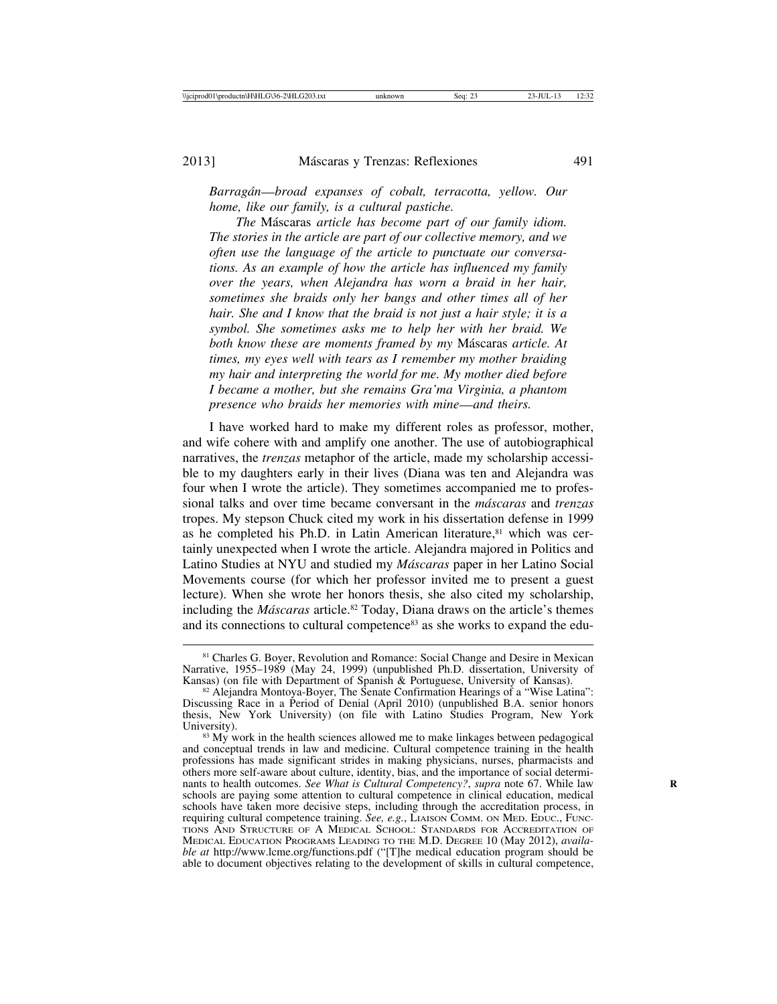*Barrag´an*—*broad expanses of cobalt, terracotta, yellow. Our home, like our family, is a cultural pastiche.*

*The* M´ascaras *article has become part of our family idiom. The stories in the article are part of our collective memory, and we often use the language of the article to punctuate our conversations. As an example of how the article has influenced my family over the years, when Alejandra has worn a braid in her hair, sometimes she braids only her bangs and other times all of her hair. She and I know that the braid is not just a hair style; it is a symbol. She sometimes asks me to help her with her braid. We both know these are moments framed by my* M´ascaras *article. At times, my eyes well with tears as I remember my mother braiding my hair and interpreting the world for me. My mother died before I became a mother, but she remains Gra'ma Virginia, a phantom presence who braids her memories with mine*—*and theirs.*

I have worked hard to make my different roles as professor, mother, and wife cohere with and amplify one another. The use of autobiographical narratives, the *trenzas* metaphor of the article, made my scholarship accessible to my daughters early in their lives (Diana was ten and Alejandra was four when I wrote the article). They sometimes accompanied me to professional talks and over time became conversant in the *m´ascaras* and *trenzas* tropes. My stepson Chuck cited my work in his dissertation defense in 1999 as he completed his Ph.D. in Latin American literature,<sup>81</sup> which was certainly unexpected when I wrote the article. Alejandra majored in Politics and Latino Studies at NYU and studied my *M´ascaras* paper in her Latino Social Movements course (for which her professor invited me to present a guest lecture). When she wrote her honors thesis, she also cited my scholarship, including the *M´ascaras* article.82 Today, Diana draws on the article's themes and its connections to cultural competence<sup>83</sup> as she works to expand the edu-

<sup>&</sup>lt;sup>81</sup> Charles G. Boyer, Revolution and Romance: Social Change and Desire in Mexican Narrative, 1955–1989 (May 24, 1999) (unpublished Ph.D. dissertation, University of Kansas) (on file with Department of Spanish & Portuguese, University of Kansas).

<sup>&</sup>lt;sup>82</sup> Alejandra Montoya-Boyer, The Senate Confirmation Hearings of a "Wise Latina": Discussing Race in a Period of Denial (April 2010) (unpublished B.A. senior honors thesis, New York University) (on file with Latino Studies Program, New York

 $83$  My work in the health sciences allowed me to make linkages between pedagogical and conceptual trends in law and medicine. Cultural competence training in the health professions has made significant strides in making physicians, nurses, pharmacists and others more self-aware about culture, identity, bias, and the importance of social determinants to health outcomes. *See What is Cultural Competency?*, *supra* note 67. While law **R** schools are paying some attention to cultural competence in clinical education, medical schools have taken more decisive steps, including through the accreditation process, in requiring cultural competence training. *See, e.g.*, LIAISON COMM. ON MED. EDUC., FUNC-TIONS AND STRUCTURE OF A MEDICAL SCHOOL: STANDARDS FOR ACCREDITATION OF MEDICAL EDUCATION PROGRAMS LEADING TO THE M.D. DEGREE 10 (May 2012), *available at* http://www.lcme.org/functions.pdf ("[T]he medical education program should be able to document objectives relating to the development of skills in cultural competence,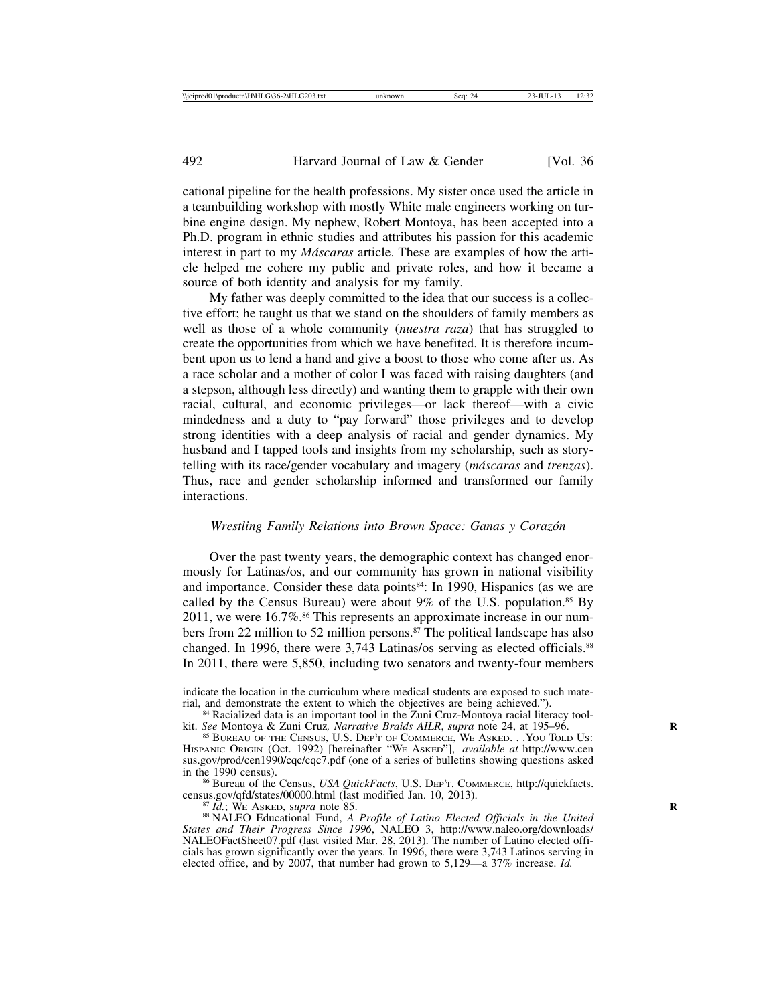cational pipeline for the health professions. My sister once used the article in a teambuilding workshop with mostly White male engineers working on turbine engine design. My nephew, Robert Montoya, has been accepted into a Ph.D. program in ethnic studies and attributes his passion for this academic interest in part to my *Máscaras* article. These are examples of how the article helped me cohere my public and private roles, and how it became a source of both identity and analysis for my family.

My father was deeply committed to the idea that our success is a collective effort; he taught us that we stand on the shoulders of family members as well as those of a whole community (*nuestra raza*) that has struggled to create the opportunities from which we have benefited. It is therefore incumbent upon us to lend a hand and give a boost to those who come after us. As a race scholar and a mother of color I was faced with raising daughters (and a stepson, although less directly) and wanting them to grapple with their own racial, cultural, and economic privileges—or lack thereof—with a civic mindedness and a duty to "pay forward" those privileges and to develop strong identities with a deep analysis of racial and gender dynamics. My husband and I tapped tools and insights from my scholarship, such as storytelling with its race/gender vocabulary and imagery (*m´ascaras* and *trenzas*). Thus, race and gender scholarship informed and transformed our family interactions.

#### *Wrestling Family Relations into Brown Space: Ganas y Coraz´on*

Over the past twenty years, the demographic context has changed enormously for Latinas/os, and our community has grown in national visibility and importance. Consider these data points<sup>84</sup>: In 1990, Hispanics (as we are called by the Census Bureau) were about 9% of the U.S. population.<sup>85</sup> By 2011, we were 16.7%.<sup>86</sup> This represents an approximate increase in our numbers from 22 million to 52 million persons.87 The political landscape has also changed. In 1996, there were 3,743 Latinas/os serving as elected officials.<sup>88</sup> In 2011, there were 5,850, including two senators and twenty-four members

indicate the location in the curriculum where medical students are exposed to such mate-<br>rial, and demonstrate the extent to which the objectives are being achieved.").

<sup>&</sup>lt;sup>84</sup> Racialized data is an important tool in the Zuni Cruz-Montoya racial literacy tool-<br>kit. See Montoya & Zuni Cruz, *Narrative Braids AILR*, *supra* note 24, at 195–96.

kit. See Montoya & Zuni Cruz, *Narrative Braids AILR*, *supra* note 24, at 195–96.<br><sup>85</sup> BUREAU OF THE CENSUS, U.S. DEP'T OF COMMERCE, WE ASKED. . .YOU TOLD US:<br>HISPANIC ORIGIN (Oct. 1992) [hereinafter "WE ASKED"], *availab* sus.gov/prod/cen1990/cqc/cqc7.pdf (one of a series of bulletins showing questions asked in the 1990 census).

<sup>&</sup>lt;sup>86</sup> Bureau of the Census, *USA QuickFacts*, U.S. Dep'r. COMMERCE, http://quickfacts. census.gov/qfd/states/00000.html (last modified Jan. 10, 2013).

<sup>&</sup>lt;sup>87</sup> *Id.*; We Asked, supra note 85. *R* 88 *R* 88 *R* 88 *R* 88 NALEO Educational Fund, *A Profile of Latino Elected Officials in the United States and Their Progress Since 1996*, NALEO 3, http://www.naleo.org/downloads/ NALEOFactSheet07.pdf (last visited Mar. 28, 2013). The number of Latino elected officials has grown significantly over the years. In 1996, there were 3,743 Latinos serving in elected office, and by 2007, that number had grown to 5,129—a 37% increase. *Id.*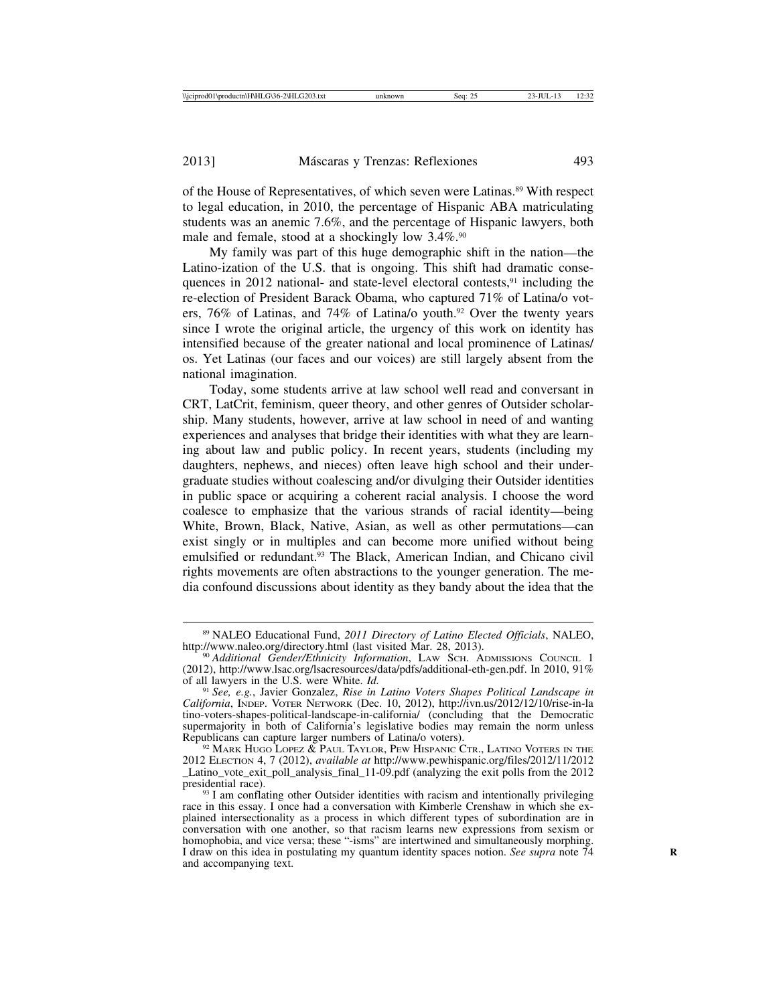of the House of Representatives, of which seven were Latinas.89 With respect to legal education, in 2010, the percentage of Hispanic ABA matriculating students was an anemic 7.6%, and the percentage of Hispanic lawyers, both male and female, stood at a shockingly low 3.4%.90

My family was part of this huge demographic shift in the nation—the Latino-ization of the U.S. that is ongoing. This shift had dramatic consequences in 2012 national- and state-level electoral contests,<sup>91</sup> including the re-election of President Barack Obama, who captured 71% of Latina/o voters, 76% of Latinas, and 74% of Latina/o youth.<sup>92</sup> Over the twenty years since I wrote the original article, the urgency of this work on identity has intensified because of the greater national and local prominence of Latinas/ os. Yet Latinas (our faces and our voices) are still largely absent from the national imagination.

Today, some students arrive at law school well read and conversant in CRT, LatCrit, feminism, queer theory, and other genres of Outsider scholarship. Many students, however, arrive at law school in need of and wanting experiences and analyses that bridge their identities with what they are learning about law and public policy. In recent years, students (including my daughters, nephews, and nieces) often leave high school and their undergraduate studies without coalescing and/or divulging their Outsider identities in public space or acquiring a coherent racial analysis. I choose the word coalesce to emphasize that the various strands of racial identity—being White, Brown, Black, Native, Asian, as well as other permutations—can exist singly or in multiples and can become more unified without being emulsified or redundant.93 The Black, American Indian, and Chicano civil rights movements are often abstractions to the younger generation. The media confound discussions about identity as they bandy about the idea that the

<sup>&</sup>lt;sup>89</sup> NALEO Educational Fund, *2011 Directory of Latino Elected Officials*, NALEO, http://www.naleo.org/directory.html (last visited Mar. 28, 2013).

<sup>&</sup>lt;sup>90</sup> Additional Gender/Ethnicity Information, LAW SCH. ADMISSIONS COUNCIL 1 (2012), http://www.lsac.org/lsacresources/data/pdfs/additional-eth-gen.pdf. In 2010, 91% of all lawyers in the U.S. were White.  $Id$ .

<sup>&</sup>lt;sup>91</sup> See, e.g., Javier Gonzalez, Rise in Latino Voters Shapes Political Landscape in *California*, INDEP. VOTER NETWORK (Dec. 10, 2012), http://ivn.us/2012/12/10/rise-in-la tino-voters-shapes-political-landscape-in-california/ (concluding that the Democratic supermajority in both of California's legislative bodies may remain the norm unless Republicans can capture larger numbers of Latina/o voters).

 $92$  Mark Hugo Lopez  $\&$  Paul Taylor, Pew Hispanic Ctr., Latino Voters in the 2012 ELECTION 4, 7 (2012), *available at* http://www.pewhispanic.org/files/2012/11/2012 \_Latino\_vote\_exit\_poll\_analysis\_final\_11-09.pdf (analyzing the exit polls from the 2012

 $93$  I am conflating other Outsider identities with racism and intentionally privileging race in this essay. I once had a conversation with Kimberle Crenshaw in which she explained intersectionality as a process in which different types of subordination are in conversation with one another, so that racism learns new expressions from sexism or homophobia, and vice versa; these "-isms" are intertwined and simultaneously morphing. I draw on this idea in postulating my quantum identity spaces notion. *See supra* note 74 **R** and accompanying text.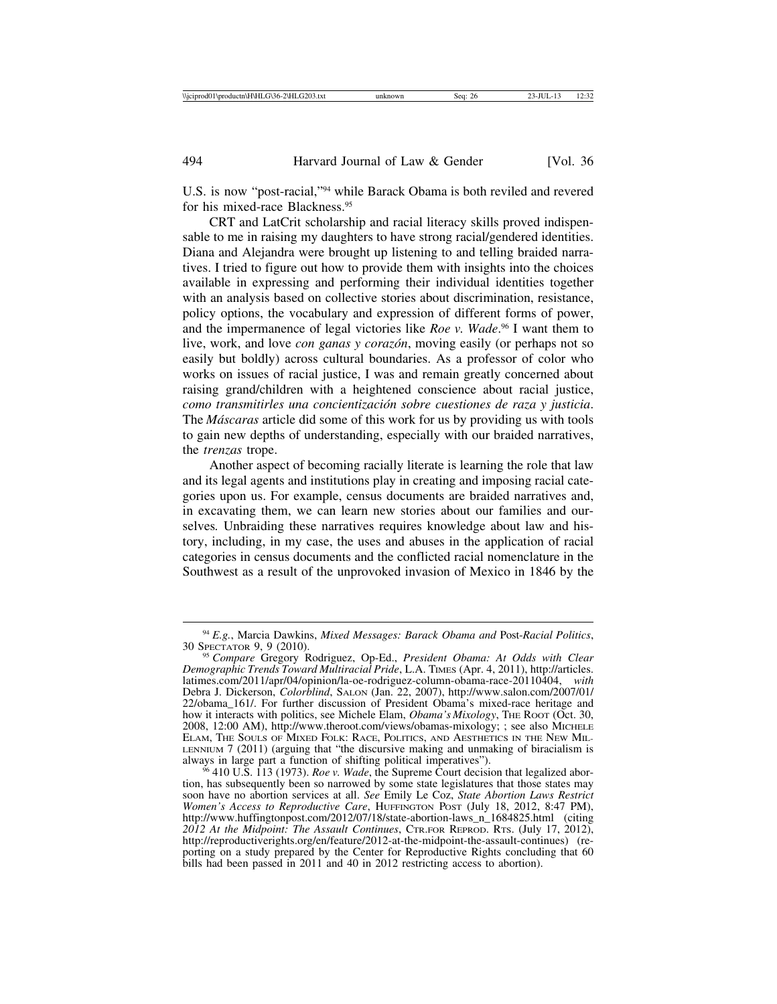U.S. is now "post-racial,"94 while Barack Obama is both reviled and revered for his mixed-race Blackness.95

CRT and LatCrit scholarship and racial literacy skills proved indispensable to me in raising my daughters to have strong racial/gendered identities. Diana and Alejandra were brought up listening to and telling braided narratives. I tried to figure out how to provide them with insights into the choices available in expressing and performing their individual identities together with an analysis based on collective stories about discrimination, resistance, policy options, the vocabulary and expression of different forms of power, and the impermanence of legal victories like *Roe v. Wade*. 96 I want them to live, work, and love *con ganas y coraz´on*, moving easily (or perhaps not so easily but boldly) across cultural boundaries. As a professor of color who works on issues of racial justice, I was and remain greatly concerned about raising grand/children with a heightened conscience about racial justice, *como transmitirles una concientizaci´on sobre cuestiones de raza y justicia*. The *M´ascaras* article did some of this work for us by providing us with tools to gain new depths of understanding, especially with our braided narratives, the *trenzas* trope.

Another aspect of becoming racially literate is learning the role that law and its legal agents and institutions play in creating and imposing racial categories upon us. For example, census documents are braided narratives and, in excavating them, we can learn new stories about our families and ourselves*.* Unbraiding these narratives requires knowledge about law and history, including, in my case, the uses and abuses in the application of racial categories in census documents and the conflicted racial nomenclature in the Southwest as a result of the unprovoked invasion of Mexico in 1846 by the

<sup>94</sup> *E.g.*, Marcia Dawkins, *Mixed Messages: Barack Obama and* Post-*Racial Politics*,

<sup>&</sup>lt;sup>95</sup> Compare Gregory Rodriguez, Op-Ed., *President Obama: At Odds with Clear Demographic Trends Toward Multiracial Pride*, L.A. TIMES (Apr. 4, 2011), http://articles. latimes.com/2011/apr/04/opinion/la-oe-rodriguez-column-obama-race-20110404, *with* Debra J. Dickerson, *Colorblind*, SALON (Jan. 22, 2007), http://www.salon.com/2007/01/ 22/obama\_161/. For further discussion of President Obama's mixed-race heritage and how it interacts with politics, see Michele Elam, *Obama's Mixology*, THE Root (Oct. 30, 2008, 12:00 AM), http://www.theroot.com/views/obamas-mixology; ; see also MICHELE ELAM, THE SOULS OF MIXED FOLK: RACE, POLITICS, AND AESTHETICS IN THE NEW MIL-LENNIUM 7 (2011) (arguing that "the discursive making and unmaking of biracialism is always in large part a function of shifting political imperatives").

<sup>&</sup>lt;sup>56</sup> 410 U.S. 113 (1973). *Roe v. Wade*, the Supreme Court decision that legalized abortion, has subsequently been so narrowed by some state legislatures that those states may soon have no abortion services at all. *See* Emily Le Coz, *State Abortion Laws Restrict Women's Access to Reproductive Care*, HUFFINGTON POST (July 18, 2012, 8:47 PM), http://www.huffingtonpost.com/2012/07/18/state-abortion-laws\_n\_1684825.html (citing *2012 At the Midpoint: The Assault Continues*, CTR.FOR REPROD. RTS. (July 17, 2012), http://reproductiverights.org/en/feature/2012-at-the-midpoint-the-assault-continues) (reporting on a study prepared by the Center for Reproductive Rights concluding that 60 bills had been passed in 2011 and 40 in 2012 restricting access to abortion).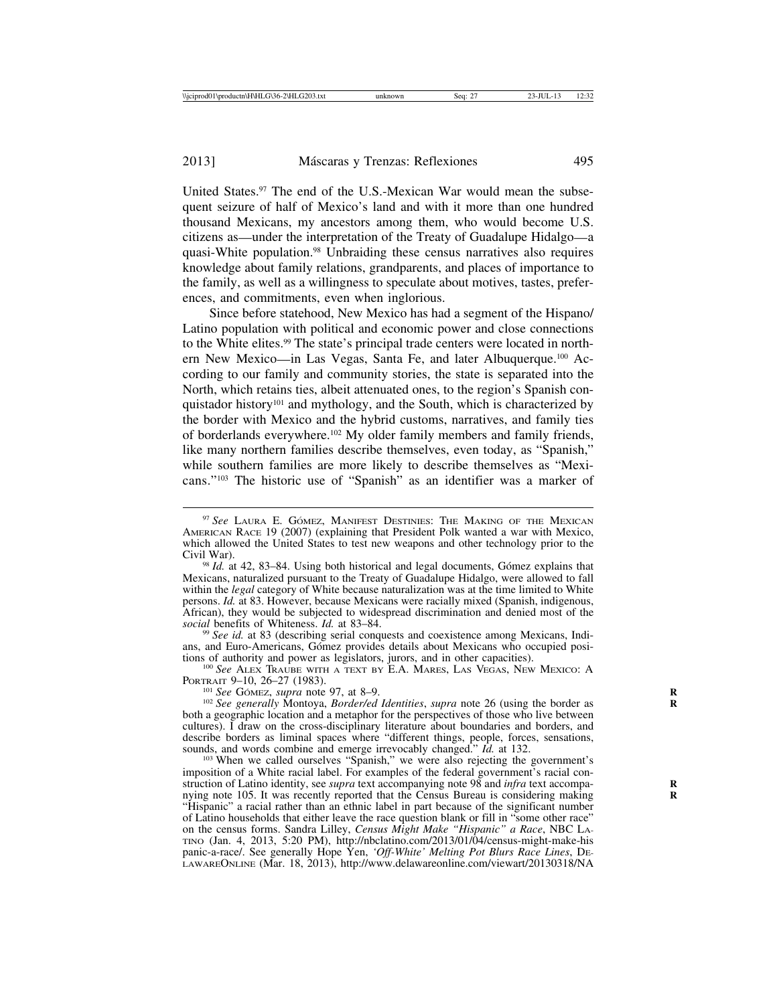United States.97 The end of the U.S.-Mexican War would mean the subsequent seizure of half of Mexico's land and with it more than one hundred thousand Mexicans, my ancestors among them, who would become U.S. citizens as—under the interpretation of the Treaty of Guadalupe Hidalgo—a quasi-White population.98 Unbraiding these census narratives also requires knowledge about family relations, grandparents, and places of importance to the family, as well as a willingness to speculate about motives, tastes, preferences, and commitments, even when inglorious.

Since before statehood, New Mexico has had a segment of the Hispano/ Latino population with political and economic power and close connections to the White elites.99 The state's principal trade centers were located in northern New Mexico—in Las Vegas, Santa Fe, and later Albuquerque.100 According to our family and community stories, the state is separated into the North, which retains ties, albeit attenuated ones, to the region's Spanish conquistador history101 and mythology, and the South, which is characterized by the border with Mexico and the hybrid customs, narratives, and family ties of borderlands everywhere.102 My older family members and family friends, like many northern families describe themselves, even today, as "Spanish," while southern families are more likely to describe themselves as "Mexicans."103 The historic use of "Spanish" as an identifier was a marker of

<sup>99</sup> See id. at 83 (describing serial conquests and coexistence among Mexicans, Indians, and Euro-Americans, Gómez provides details about Mexicans who occupied positions of authority and power as legislators, jurors, and in other capacities).

<sup>100</sup> See Alex Traube with a text by E.A. Mares, Las Vegas, New Mexico: A PORTRAIT 9–10, 26–27 (1983).

<sup>101</sup> *See* Gómez, *supra* note 97, at 8–9.<br><sup>102</sup> *See generally* Montoya, *Border/ed Identities*, *supra* note 26 (using the border as both a geographic location and a metaphor for the perspectives of those who live between cultures). I draw on the cross-disciplinary literature about boundaries and borders, and describe borders as liminal spaces where "different things, people, forces, sensations, sounds, and words combine and emerge irrevocably changed."  $Id$ . at 132.

<sup>103</sup> When we called ourselves "Spanish," we were also rejecting the government's imposition of a White racial label. For examples of the federal government's racial construction of Latino identity, see *supra* text accompanying note 98 and *infra* text accompanying note 105. It was recently reported that the Census Bureau is considering making **R** "Hispanic" a racial rather than an ethnic label in part because of the significant number of Latino households that either leave the race question blank or fill in "some other race" on the census forms. Sandra Lilley, *Census Might Make "Hispanic" a Race*, NBC LA-TINO (Jan. 4, 2013, 5:20 PM), http://nbclatino.com/2013/01/04/census-might-make-his panic-a-race/. See generally Hope Yen, *'Off-White' Melting Pot Blurs Race Lines*, DE-LAWAREONLINE (Mar. 18, 2013), http://www.delawareonline.com/viewart/20130318/NA

<sup>&</sup>lt;sup>97</sup> See LAURA E. GÓMEZ, MANIFEST DESTINIES: THE MAKING OF THE MEXICAN AMERICAN RACE 19 (2007) (explaining that President Polk wanted a war with Mexico, which allowed the United States to test new weapons and other technology prior to the Civil War).<br><sup>98</sup> *Id.* at 42, 83–84. Using both historical and legal documents, Gómez explains that

Mexicans, naturalized pursuant to the Treaty of Guadalupe Hidalgo, were allowed to fall within the *legal* category of White because naturalization was at the time limited to White persons. *Id.* at 83. However, because Mexicans were racially mixed (Spanish, indigenous, African), they would be subjected to widespread discrimination and denied most of the *social* benefits of Whiteness.  $Id$ . at 83–84.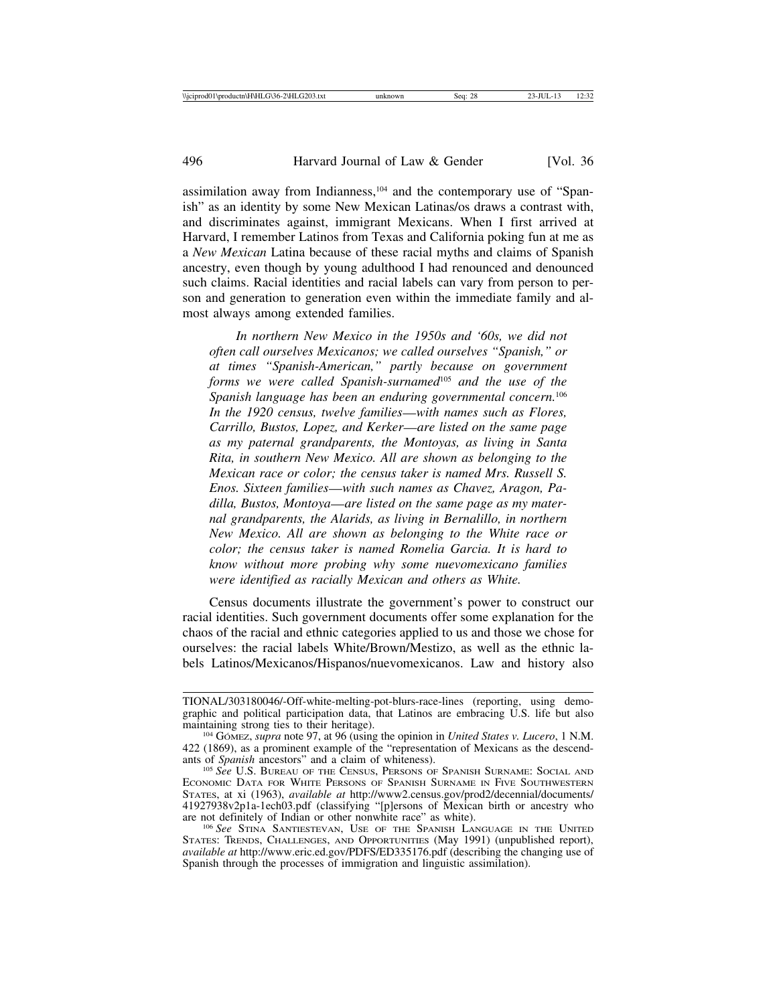assimilation away from Indianness,104 and the contemporary use of "Spanish" as an identity by some New Mexican Latinas/os draws a contrast with, and discriminates against, immigrant Mexicans. When I first arrived at Harvard, I remember Latinos from Texas and California poking fun at me as a *New Mexican* Latina because of these racial myths and claims of Spanish ancestry, even though by young adulthood I had renounced and denounced such claims. Racial identities and racial labels can vary from person to person and generation to generation even within the immediate family and almost always among extended families.

*In northern New Mexico in the 1950s and '60s, we did not often call ourselves Mexicanos; we called ourselves "Spanish," or at times "Spanish-American," partly because on government forms we were called Spanish-surnamed*105 *and the use of the Spanish language has been an enduring governmental concern.*<sup>106</sup> *In the 1920 census, twelve families*—*with names such as Flores, Carrillo, Bustos, Lopez, and Kerker*—*are listed on the same page as my paternal grandparents, the Montoyas, as living in Santa Rita, in southern New Mexico. All are shown as belonging to the Mexican race or color; the census taker is named Mrs. Russell S. Enos. Sixteen families*—*with such names as Chavez, Aragon, Padilla, Bustos, Montoya*—*are listed on the same page as my maternal grandparents, the Alarids, as living in Bernalillo, in northern New Mexico. All are shown as belonging to the White race or color; the census taker is named Romelia Garcia. It is hard to know without more probing why some nuevomexicano families were identified as racially Mexican and others as White.*

Census documents illustrate the government's power to construct our racial identities. Such government documents offer some explanation for the chaos of the racial and ethnic categories applied to us and those we chose for ourselves: the racial labels White/Brown/Mestizo, as well as the ethnic labels Latinos/Mexicanos/Hispanos/nuevomexicanos. Law and history also

TIONAL/303180046/-Off-white-melting-pot-blurs-race-lines (reporting, using demographic and political participation data, that Latinos are embracing U.S. life but also maintaining strong ties to their heritage).

<sup>&</sup>lt;sup>104</sup> GÓMEZ, *supra* note 97, at 96 (using the opinion in *United States v. Lucero*, 1 N.M.  $422$  (1869), as a prominent example of the "representation of Mexicans as the descend-<br>ants of *Spanish* ancestors" and a claim of whiteness).

<sup>105</sup> See U.S. BUREAU OF THE CENSUS, PERSONS OF SPANISH SURNAME: SOCIAL AND ECONOMIC DATA FOR WHITE PERSONS OF SPANISH SURNAME IN FIVE SOUTHWESTERN STATES, at xi (1963), *available at* http://www2.census.gov/prod2/decennial/documents/ 41927938v2p1a-1ech03.pdf (classifying "[p]ersons of Mexican birth or ancestry who

<sup>&</sup>lt;sup>106</sup> See STINA SANTIESTEVAN, USE OF THE SPANISH LANGUAGE IN THE UNITED STATES: TRENDS, CHALLENGES, AND OPPORTUNITIES (May 1991) (unpublished report), *available at* http://www.eric.ed.gov/PDFS/ED335176.pdf (describing the changing use of Spanish through the processes of immigration and linguistic assimilation).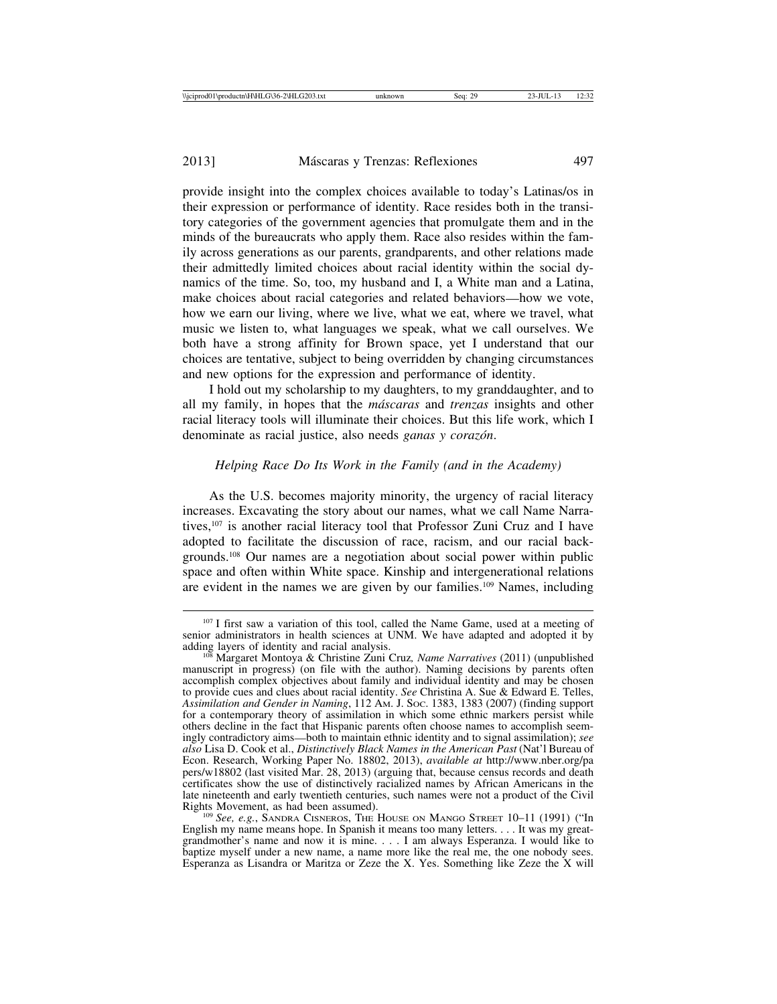provide insight into the complex choices available to today's Latinas/os in their expression or performance of identity. Race resides both in the transitory categories of the government agencies that promulgate them and in the minds of the bureaucrats who apply them. Race also resides within the family across generations as our parents, grandparents, and other relations made their admittedly limited choices about racial identity within the social dynamics of the time. So, too, my husband and I, a White man and a Latina, make choices about racial categories and related behaviors—how we vote, how we earn our living, where we live, what we eat, where we travel, what music we listen to, what languages we speak, what we call ourselves. We both have a strong affinity for Brown space, yet I understand that our choices are tentative, subject to being overridden by changing circumstances and new options for the expression and performance of identity.

I hold out my scholarship to my daughters, to my granddaughter, and to all my family, in hopes that the *m´ascaras* and *trenzas* insights and other racial literacy tools will illuminate their choices. But this life work, which I denominate as racial justice, also needs *ganas y coraz´on*.

#### *Helping Race Do Its Work in the Family (and in the Academy)*

As the U.S. becomes majority minority, the urgency of racial literacy increases. Excavating the story about our names, what we call Name Narratives,107 is another racial literacy tool that Professor Zuni Cruz and I have adopted to facilitate the discussion of race, racism, and our racial backgrounds.108 Our names are a negotiation about social power within public space and often within White space. Kinship and intergenerational relations are evident in the names we are given by our families.109 Names, including

<sup>107</sup> I first saw a variation of this tool, called the Name Game, used at a meeting of senior administrators in health sciences at UNM. We have adapted and adopted it by adding layers of identity and racial analysis.

<sup>&</sup>lt;sup>108</sup> Margaret Montoya & Christine Zuni Cruz, Name Narratives (2011) (unpublished manuscript in progress) (on file with the author). Naming decisions by parents often accomplish complex objectives about family and individual identity and may be chosen to provide cues and clues about racial identity. *See* Christina A. Sue & Edward E. Telles, *Assimilation and Gender in Naming*, 112 AM. J. SOC. 1383, 1383 (2007) (finding support for a contemporary theory of assimilation in which some ethnic markers persist while others decline in the fact that Hispanic parents often choose names to accomplish seemingly contradictory aims—both to maintain ethnic identity and to signal assimilation); *see also* Lisa D. Cook et al., *Distinctively Black Names in the American Past* (Nat'l Bureau of Econ. Research, Working Paper No. 18802, 2013), *available at* http://www.nber.org/pa pers/w18802 (last visited Mar. 28, 2013) (arguing that, because census records and death certificates show the use of distinctively racialized names by African Americans in the late nineteenth and early twentieth centuries, such names were not a product of the Civil

<sup>&</sup>lt;sup>109</sup> See, e.g., SANDRA CISNEROS, THE HOUSE ON MANGO STREET 10–11 (1991) ("In English my name means hope. In Spanish it means too many letters. . . . It was my greatgrandmother's name and now it is mine. . . . I am always Esperanza. I would like to baptize myself under a new name, a name more like the real me, the one nobody sees. Esperanza as Lisandra or Maritza or Zeze the X. Yes. Something like Zeze the X will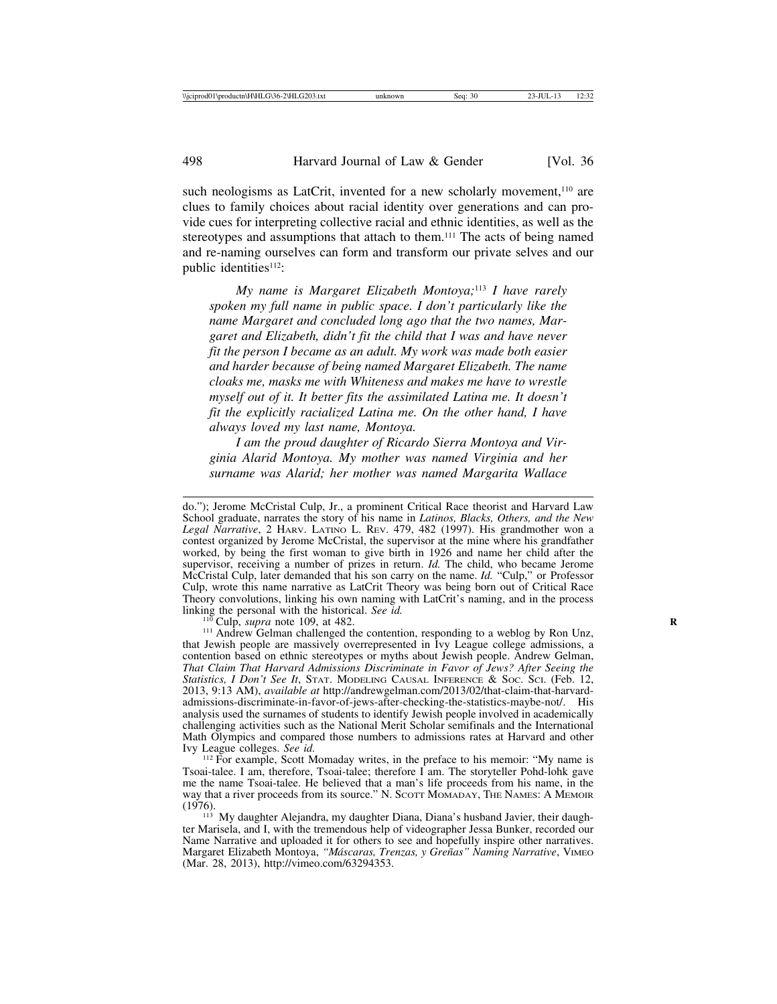such neologisms as LatCrit, invented for a new scholarly movement,<sup>110</sup> are clues to family choices about racial identity over generations and can provide cues for interpreting collective racial and ethnic identities, as well as the stereotypes and assumptions that attach to them.<sup>111</sup> The acts of being named and re-naming ourselves can form and transform our private selves and our public identities<sup>112</sup>:

*My name is Margaret Elizabeth Montoya;*113 *I have rarely spoken my full name in public space. I don't particularly like the name Margaret and concluded long ago that the two names, Margaret and Elizabeth, didn't fit the child that I was and have never fit the person I became as an adult. My work was made both easier and harder because of being named Margaret Elizabeth. The name cloaks me, masks me with Whiteness and makes me have to wrestle myself out of it. It better fits the assimilated Latina me. It doesn't fit the explicitly racialized Latina me. On the other hand, I have always loved my last name, Montoya.*

*I am the proud daughter of Ricardo Sierra Montoya and Virginia Alarid Montoya. My mother was named Virginia and her surname was Alarid; her mother was named Margarita Wallace*

do."); Jerome McCristal Culp, Jr., a prominent Critical Race theorist and Harvard Law School graduate, narrates the story of his name in *Latinos, Blacks, Others, and the New Legal Narrative*, 2 HARV. LATINO L. REV. 479, 482 (1997). His grandmother won a contest organized by Jerome McCristal, the supervisor at the mine where his grandfather worked, by being the first woman to give birth in 1926 and name her child after the supervisor, receiving a number of prizes in return. *Id.* The child, who became Jerome McCristal Culp, later demanded that his son carry on the name. *Id.* "Culp," or Professor Culp, wrote this name narrative as LatCrit Theory was being born out of Critical Race Theory convolutions, linking his own naming with LatCrit's naming, and in the process linking the personal with the historical. See id.

<sup>&</sup>lt;sup>110</sup> Culp, *supra* note 109, at 482. **R** 110 Culp, suppose it all the contention, responding to a weblog by Ron Unz, that Jewish people are massively overrepresented in Ivy League college admissions, a contention based on ethnic stereotypes or myths about Jewish people. Andrew Gelman, *That Claim That Harvard Admissions Discriminate in Favor of Jews? After Seeing the Statistics, I Don't See It*, STAT. MODELING CAUSAL INFERENCE & SOC. SCI. (Feb. 12, 2013, 9:13 AM), *available at* http://andrewgelman.com/2013/02/that-claim-that-harvardadmissions-discriminate-in-favor-of-jews-after-checking-the-statistics-maybe-not/. His analysis used the surnames of students to identify Jewish people involved in academically challenging activities such as the National Merit Scholar semifinals and the International Math Olympics and compared those numbers to admissions rates at Harvard and other Ivy League colleges. See id.

<sup>&</sup>lt;sup>112</sup> For example, Scott Momaday writes, in the preface to his memoir: "My name is Tsoai-talee. I am, therefore, Tsoai-talee; therefore I am. The storyteller Pohd-lohk gave me the name Tsoai-talee. He believed that a man's life proceeds from his name, in the way that a river proceeds from its source." N. SCOTT MOMADAY, THE NAMES: A MEMOIR  $(1976)$ . 113 My daughter Alejandra, my daughter Diana, Diana's husband Javier, their daugh-

ter Marisela, and I, with the tremendous help of videographer Jessa Bunker, recorded our Name Narrative and uploaded it for others to see and hopefully inspire other narratives. Margaret Elizabeth Montoya, *"M´ascaras, Trenzas, y Gre˜nas" Naming Narrative*, VIMEO (Mar. 28, 2013), http://vimeo.com/63294353.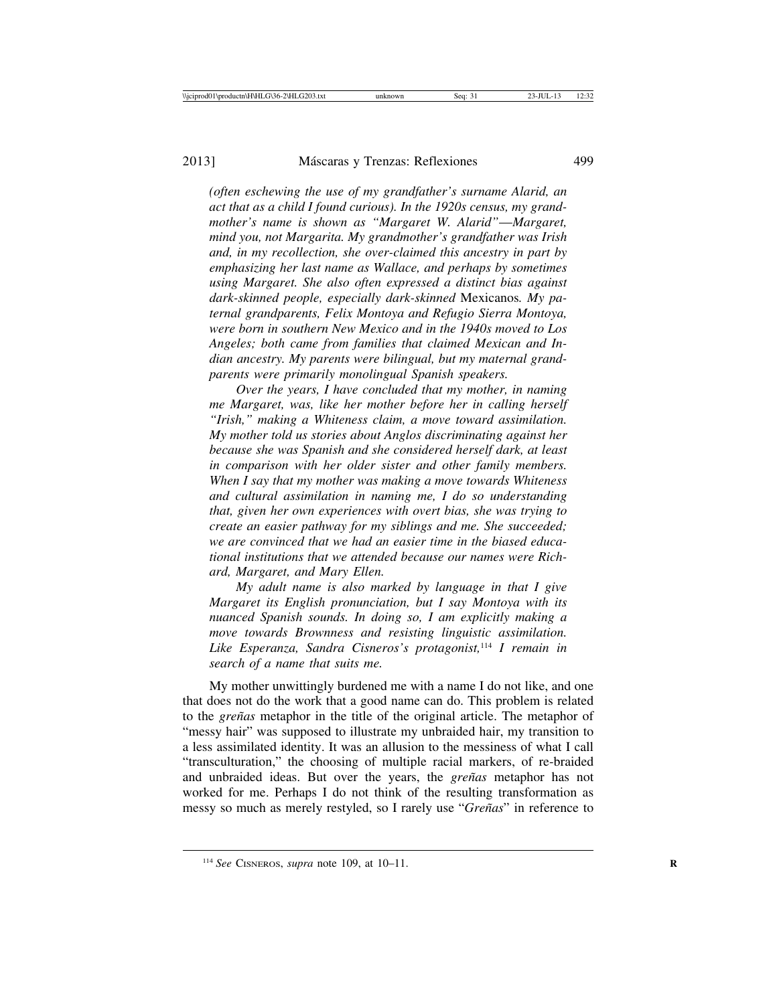*(often eschewing the use of my grandfather's surname Alarid, an act that as a child I found curious). In the 1920s census, my grandmother's name is shown as "Margaret W. Alarid"*—*Margaret, mind you, not Margarita. My grandmother's grandfather was Irish and, in my recollection, she over-claimed this ancestry in part by emphasizing her last name as Wallace, and perhaps by sometimes using Margaret. She also often expressed a distinct bias against dark-skinned people, especially dark-skinned* Mexicanos*. My paternal grandparents, Felix Montoya and Refugio Sierra Montoya, were born in southern New Mexico and in the 1940s moved to Los Angeles; both came from families that claimed Mexican and Indian ancestry. My parents were bilingual, but my maternal grandparents were primarily monolingual Spanish speakers.*

*Over the years, I have concluded that my mother, in naming me Margaret, was, like her mother before her in calling herself "Irish," making a Whiteness claim, a move toward assimilation. My mother told us stories about Anglos discriminating against her because she was Spanish and she considered herself dark, at least in comparison with her older sister and other family members. When I say that my mother was making a move towards Whiteness and cultural assimilation in naming me, I do so understanding that, given her own experiences with overt bias, she was trying to create an easier pathway for my siblings and me. She succeeded; we are convinced that we had an easier time in the biased educational institutions that we attended because our names were Richard, Margaret, and Mary Ellen.*

*My adult name is also marked by language in that I give Margaret its English pronunciation, but I say Montoya with its nuanced Spanish sounds. In doing so, I am explicitly making a move towards Brownness and resisting linguistic assimilation. Like Esperanza, Sandra Cisneros's protagonist,*114 *I remain in search of a name that suits me.*

My mother unwittingly burdened me with a name I do not like, and one that does not do the work that a good name can do. This problem is related to the *gre˜nas* metaphor in the title of the original article. The metaphor of "messy hair" was supposed to illustrate my unbraided hair, my transition to a less assimilated identity. It was an allusion to the messiness of what I call "transculturation," the choosing of multiple racial markers, of re-braided and unbraided ideas. But over the years, the *greñas* metaphor has not worked for me. Perhaps I do not think of the resulting transformation as messy so much as merely restyled, so I rarely use "*Gre˜nas*" in reference to

<sup>114</sup> *See* CISNEROS, *supra* note 109, at 10–11. **<sup>R</sup>**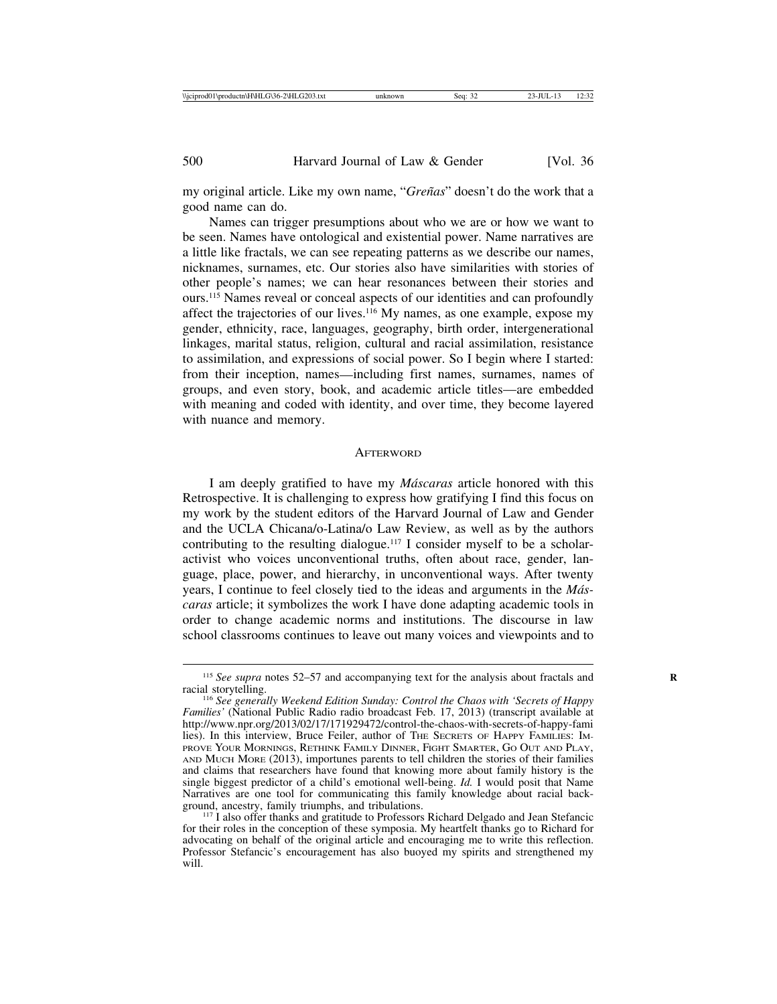my original article. Like my own name, "*Gre˜nas*" doesn't do the work that a good name can do.

Names can trigger presumptions about who we are or how we want to be seen. Names have ontological and existential power. Name narratives are a little like fractals, we can see repeating patterns as we describe our names, nicknames, surnames, etc. Our stories also have similarities with stories of other people's names; we can hear resonances between their stories and ours.115 Names reveal or conceal aspects of our identities and can profoundly affect the trajectories of our lives.116 My names, as one example, expose my gender, ethnicity, race, languages, geography, birth order, intergenerational linkages, marital status, religion, cultural and racial assimilation, resistance to assimilation, and expressions of social power. So I begin where I started: from their inception, names—including first names, surnames, names of groups, and even story, book, and academic article titles—are embedded with meaning and coded with identity, and over time, they become layered with nuance and memory.

## **AFTERWORD**

I am deeply gratified to have my *M´ascaras* article honored with this Retrospective. It is challenging to express how gratifying I find this focus on my work by the student editors of the Harvard Journal of Law and Gender and the UCLA Chicana/o-Latina/o Law Review, as well as by the authors contributing to the resulting dialogue.117 I consider myself to be a scholaractivist who voices unconventional truths, often about race, gender, language, place, power, and hierarchy, in unconventional ways. After twenty years, I continue to feel closely tied to the ideas and arguments in the *M´ascaras* article; it symbolizes the work I have done adapting academic tools in order to change academic norms and institutions. The discourse in law school classrooms continues to leave out many voices and viewpoints and to

<sup>&</sup>lt;sup>115</sup> *See supra* notes 52–57 and accompanying text for the analysis about fractals and racial storytelling.

<sup>&</sup>lt;sup>116</sup> See generally Weekend Edition Sunday: Control the Chaos with 'Secrets of Happy *Families'* (National Public Radio radio broadcast Feb. 17, 2013) (transcript available at http://www.npr.org/2013/02/17/171929472/control-the-chaos-with-secrets-of-happy-fami lies). In this interview, Bruce Feiler, author of THE SECRETS OF HAPPY FAMILIES: IM-PROVE YOUR MORNINGS, RETHINK FAMILY DINNER, FIGHT SMARTER, GO OUT AND PLAY, AND MUCH MORE (2013), importunes parents to tell children the stories of their families and claims that researchers have found that knowing more about family history is the single biggest predictor of a child's emotional well-being. *Id.* I would posit that Name Narratives are one tool for communicating this family knowledge about racial back-<br>ground, ancestry, family triumphs, and tribulations.

<sup>&</sup>lt;sup>117</sup> I also offer thanks and gratitude to Professors Richard Delgado and Jean Stefancic for their roles in the conception of these symposia. My heartfelt thanks go to Richard for advocating on behalf of the original article and encouraging me to write this reflection. Professor Stefancic's encouragement has also buoyed my spirits and strengthened my will.